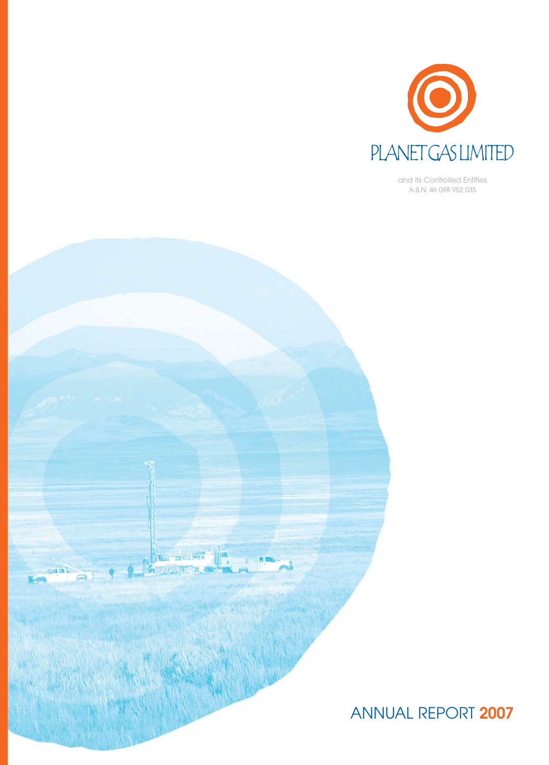

and its Controlled Entities A.B.N. 46 098 952 035

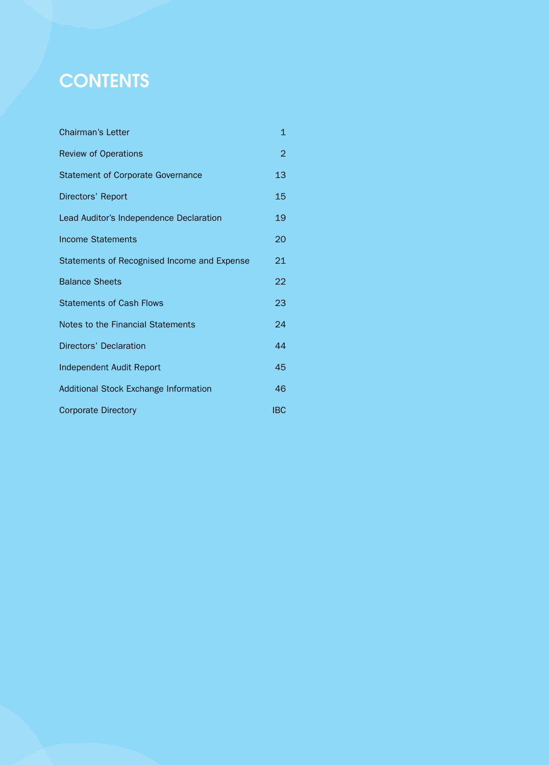# **CONTENTS**

| Chairman's Letter                           | $\mathbf 1$ |
|---------------------------------------------|-------------|
| <b>Review of Operations</b>                 | 2           |
| <b>Statement of Corporate Governance</b>    | 13          |
| Directors' Report                           | 15          |
| Lead Auditor's Independence Declaration     | 19          |
| <b>Income Statements</b>                    | 20          |
| Statements of Recognised Income and Expense | 21          |
| <b>Balance Sheets</b>                       | 22          |
| <b>Statements of Cash Flows</b>             | 23          |
| Notes to the Financial Statements           | 24          |
| Directors' Declaration                      | 44          |
| <b>Independent Audit Report</b>             | 45          |
| Additional Stock Exchange Information       | 46          |
| <b>Corporate Directory</b>                  | <b>IBC</b>  |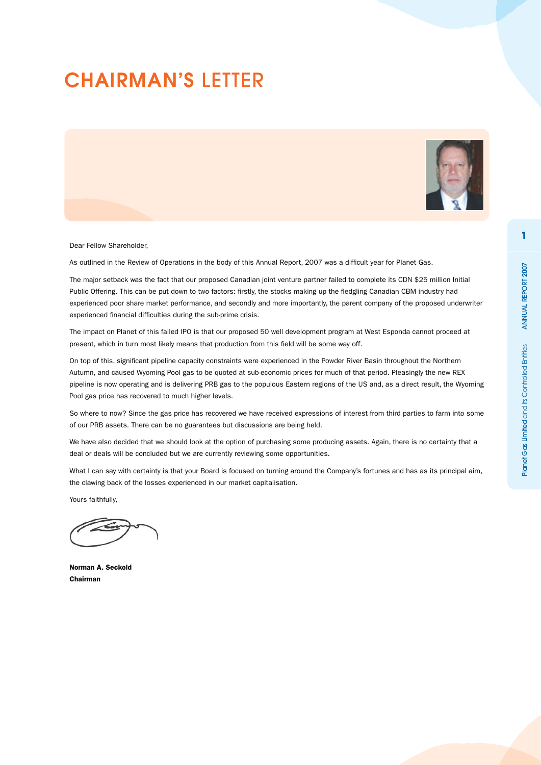# CHAIRMAN'S LETTER



Dear Fellow Shareholder,

As outlined in the Review of Operations in the body of this Annual Report, 2007 was a difficult year for Planet Gas.

The major setback was the fact that our proposed Canadian joint venture partner failed to complete its CDN \$25 million Initial Public Offering. This can be put down to two factors: firstly, the stocks making up the fledgling Canadian CBM industry had experienced poor share market performance, and secondly and more importantly, the parent company of the proposed underwriter experienced financial difficulties during the sub-prime crisis.

The impact on Planet of this failed IPO is that our proposed 50 well development program at West Esponda cannot proceed at present, which in turn most likely means that production from this field will be some way off.

On top of this, significant pipeline capacity constraints were experienced in the Powder River Basin throughout the Northern Autumn, and caused Wyoming Pool gas to be quoted at sub-economic prices for much of that period. Pleasingly the new REX pipeline is now operating and is delivering PRB gas to the populous Eastern regions of the US and, as a direct result, the Wyoming Pool gas price has recovered to much higher levels.

So where to now? Since the gas price has recovered we have received expressions of interest from third parties to farm into some of our PRB assets. There can be no guarantees but discussions are being held.

We have also decided that we should look at the option of purchasing some producing assets. Again, there is no certainty that a deal or deals will be concluded but we are currently reviewing some opportunities.

What I can say with certainty is that your Board is focused on turning around the Company's fortunes and has as its principal aim, the clawing back of the losses experienced in our market capitalisation.

Yours faithfully,

Norman A. Seckold Chairman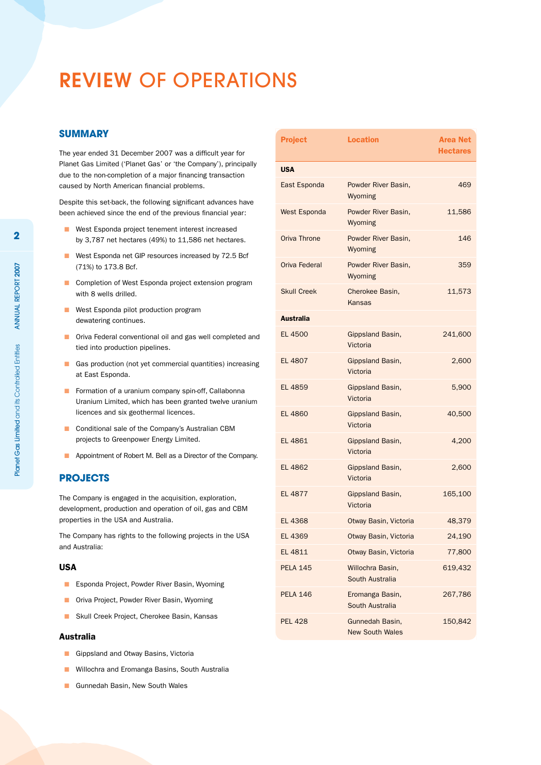# review of operations

## **SUMMARY**

The year ended 31 December 2007 was a difficult year for Planet Gas Limited ('Planet Gas' or 'the Company'), principally due to the non-completion of a major financing transaction caused by North American financial problems.

Despite this set-back, the following significant advances have been achieved since the end of the previous financial year:

- West Esponda project tenement interest increased by 3,787 net hectares (49%) to 11,586 net hectares.
- West Esponda net GIP resources increased by 72.5 Bcf (71%) to 173.8 Bcf.
- Completion of West Esponda project extension program with 8 wells drilled.
- West Esponda pilot production program dewatering continues.
- Oriva Federal conventional oil and gas well completed and tied into production pipelines.
- Gas production (not yet commercial quantities) increasing at East Esponda.
- Formation of a uranium company spin-off, Callabonna Uranium Limited, which has been granted twelve uranium licences and six geothermal licences.
- Conditional sale of the Company's Australian CBM projects to Greenpower Energy Limited.
- Appointment of Robert M. Bell as a Director of the Company.

## **PROJECTS**

The Company is engaged in the acquisition, exploration, development, production and operation of oil, gas and CBM properties in the USA and Australia.

The Company has rights to the following projects in the USA and Australia:

### USA

- Esponda Project, Powder River Basin, Wyoming
- Oriva Project, Powder River Basin, Wyoming
- Skull Creek Project, Cherokee Basin, Kansas

#### Australia

- Gippsland and Otway Basins, Victoria
- Willochra and Eromanga Basins, South Australia
- Gunnedah Basin, New South Wales

| <b>Project</b>      | <b>Location</b>                           | <b>Area Net</b><br><b>Hectares</b> |
|---------------------|-------------------------------------------|------------------------------------|
| <b>USA</b>          |                                           |                                    |
| East Esponda        | Powder River Basin,<br>Wyoming            | 469                                |
| <b>West Esponda</b> | Powder River Basin,<br>Wyoming            | 11,586                             |
| <b>Oriva Throne</b> | Powder River Basin,<br>Wyoming            | 146                                |
| Oriva Federal       | Powder River Basin,<br>Wyoming            | 359                                |
| <b>Skull Creek</b>  | Cherokee Basin,<br>Kansas                 | 11,573                             |
| <b>Australia</b>    |                                           |                                    |
| EL 4500             | Gippsland Basin,<br>Victoria              | 241,600                            |
| <b>EL 4807</b>      | Gippsland Basin,<br>Victoria              | 2,600                              |
| <b>EL 4859</b>      | Gippsland Basin,<br>Victoria              | 5,900                              |
| <b>EL 4860</b>      | Gippsland Basin,<br>Victoria              | 40,500                             |
| EL 4861             | Gippsland Basin,<br>Victoria              | 4,200                              |
| EL 4862             | Gippsland Basin,<br>Victoria              | 2,600                              |
| <b>EL 4877</b>      | Gippsland Basin,<br>Victoria              | 165,100                            |
| EL 4368             | Otway Basin, Victoria                     | 48,379                             |
| EL 4369             | Otway Basin, Victoria                     | 24,190                             |
| EL 4811             | Otway Basin, Victoria                     | 77,800                             |
| <b>PELA 145</b>     | Willochra Basin,<br>South Australia       | 619,432                            |
| <b>PELA 146</b>     | Eromanga Basin,<br>South Australia        | 267,786                            |
| <b>PEL 428</b>      | Gunnedah Basin,<br><b>New South Wales</b> | 150,842                            |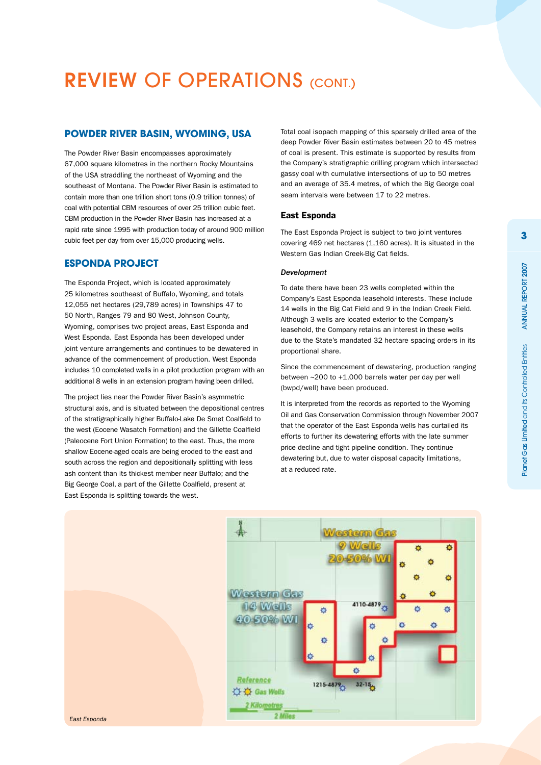## **POWDER RIVER BASIN, WYOMING, USA**

The Powder River Basin encompasses approximately 67,000 square kilometres in the northern Rocky Mountains of the USA straddling the northeast of Wyoming and the southeast of Montana. The Powder River Basin is estimated to contain more than one trillion short tons (0.9 trillion tonnes) of coal with potential CBM resources of over 25 trillion cubic feet. CBM production in the Powder River Basin has increased at a rapid rate since 1995 with production today of around 900 million cubic feet per day from over 15,000 producing wells.

## **ESPONDA PROJECT**

The Esponda Project, which is located approximately 25 kilometres southeast of Buffalo, Wyoming, and totals 12,055 net hectares (29,789 acres) in Townships 47 to 50 North, Ranges 79 and 80 West, Johnson County, Wyoming, comprises two project areas, East Esponda and West Esponda. East Esponda has been developed under joint venture arrangements and continues to be dewatered in advance of the commencement of production. West Esponda includes 10 completed wells in a pilot production program with an additional 8 wells in an extension program having been drilled.

The project lies near the Powder River Basin's asymmetric structural axis, and is situated between the depositional centres of the stratigraphically higher Buffalo-Lake De Smet Coalfield to the west (Eocene Wasatch Formation) and the Gillette Coalfield (Paleocene Fort Union Formation) to the east. Thus, the more shallow Eocene-aged coals are being eroded to the east and south across the region and depositionally splitting with less ash content than its thickest member near Buffalo; and the Big George Coal, a part of the Gillette Coalfield, present at East Esponda is splitting towards the west.

Total coal isopach mapping of this sparsely drilled area of the deep Powder River Basin estimates between 20 to 45 metres of coal is present. This estimate is supported by results from the Company's stratigraphic drilling program which intersected gassy coal with cumulative intersections of up to 50 metres and an average of 35.4 metres, of which the Big George coal seam intervals were between 17 to 22 metres.

## East Esponda

The East Esponda Project is subject to two joint ventures covering 469 net hectares (1,160 acres). It is situated in the Western Gas Indian Creek-Big Cat fields.

### *Development*

To date there have been 23 wells completed within the Company's East Esponda leasehold interests. These include 14 wells in the Big Cat Field and 9 in the Indian Creek Field. Although 3 wells are located exterior to the Company's leasehold, the Company retains an interest in these wells due to the State's mandated 32 hectare spacing orders in its proportional share.

Since the commencement of dewatering, production ranging between ~200 to +1,000 barrels water per day per well (bwpd/well) have been produced.

It is interpreted from the records as reported to the Wyoming Oil and Gas Conservation Commission through November 2007 that the operator of the East Esponda wells has curtailed its efforts to further its dewatering efforts with the late summer price decline and tight pipeline condition. They continue dewatering but, due to water disposal capacity limitations, at a reduced rate.



*East Esponda*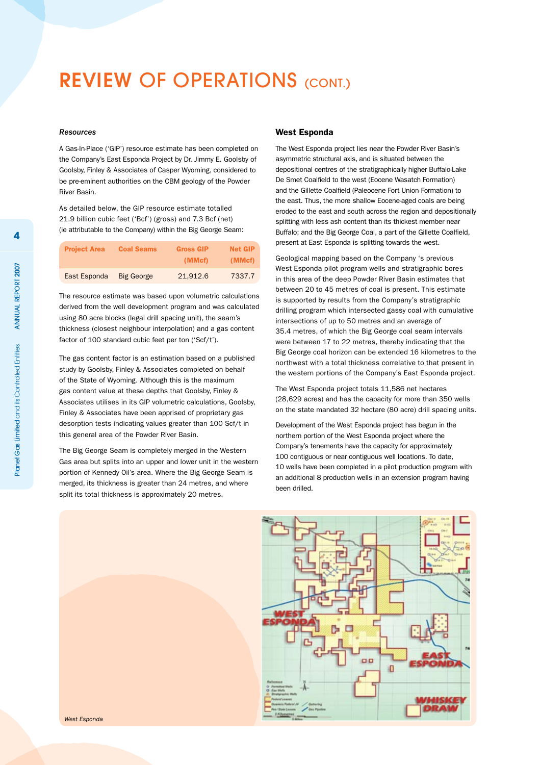#### *Resources*

A Gas-In-Place ('GIP') resource estimate has been completed on the Company's East Esponda Project by Dr. Jimmy E. Goolsby of Goolsby, Finley & Associates of Casper Wyoming, considered to be pre-eminent authorities on the CBM geology of the Powder River Basin.

As detailed below, the GIP resource estimate totalled 21.9 billion cubic feet ('Bcf') (gross) and 7.3 Bcf (net) (ie attributable to the Company) within the Big George Seam:

| <b>Project Area</b> | <b>Coal Seams</b> | <b>Gross GIP</b><br>(MMcf) | <b>Net GIP</b><br>(MMcf) |
|---------------------|-------------------|----------------------------|--------------------------|
| East Esponda        | <b>Big George</b> | 21.912.6                   | 7337.7                   |

The resource estimate was based upon volumetric calculations derived from the well development program and was calculated using 80 acre blocks (legal drill spacing unit), the seam's thickness (closest neighbour interpolation) and a gas content factor of 100 standard cubic feet per ton ('Scf/t').

The gas content factor is an estimation based on a published study by Goolsby, Finley & Associates completed on behalf of the State of Wyoming. Although this is the maximum gas content value at these depths that Goolsby, Finley & Associates utilises in its GIP volumetric calculations, Goolsby, Finley & Associates have been apprised of proprietary gas desorption tests indicating values greater than 100 Scf/t in this general area of the Powder River Basin.

The Big George Seam is completely merged in the Western Gas area but splits into an upper and lower unit in the western portion of Kennedy Oil's area. Where the Big George Seam is merged, its thickness is greater than 24 metres, and where split its total thickness is approximately 20 metres.

### West Esponda

The West Esponda project lies near the Powder River Basin's asymmetric structural axis, and is situated between the depositional centres of the stratigraphically higher Buffalo-Lake De Smet Coalfield to the west (Eocene Wasatch Formation) and the Gillette Coalfield (Paleocene Fort Union Formation) to the east. Thus, the more shallow Eocene-aged coals are being eroded to the east and south across the region and depositionally splitting with less ash content than its thickest member near Buffalo; and the Big George Coal, a part of the Gillette Coalfield, present at East Esponda is splitting towards the west.

Geological mapping based on the Company 's previous West Esponda pilot program wells and stratigraphic bores in this area of the deep Powder River Basin estimates that between 20 to 45 metres of coal is present. This estimate is supported by results from the Company's stratigraphic drilling program which intersected gassy coal with cumulative intersections of up to 50 metres and an average of 35.4 metres, of which the Big George coal seam intervals were between 17 to 22 metres, thereby indicating that the Big George coal horizon can be extended 16 kilometres to the northwest with a total thickness correlative to that present in the western portions of the Company's East Esponda project.

The West Esponda project totals 11,586 net hectares (28,629 acres) and has the capacity for more than 350 wells on the state mandated 32 hectare (80 acre) drill spacing units.

Development of the West Esponda project has begun in the northern portion of the West Esponda project where the Company's tenements have the capacity for approximately 100 contiguous or near contiguous well locations. To date, 10 wells have been completed in a pilot production program with an additional 8 production wells in an extension program having been drilled.



*West Esponda*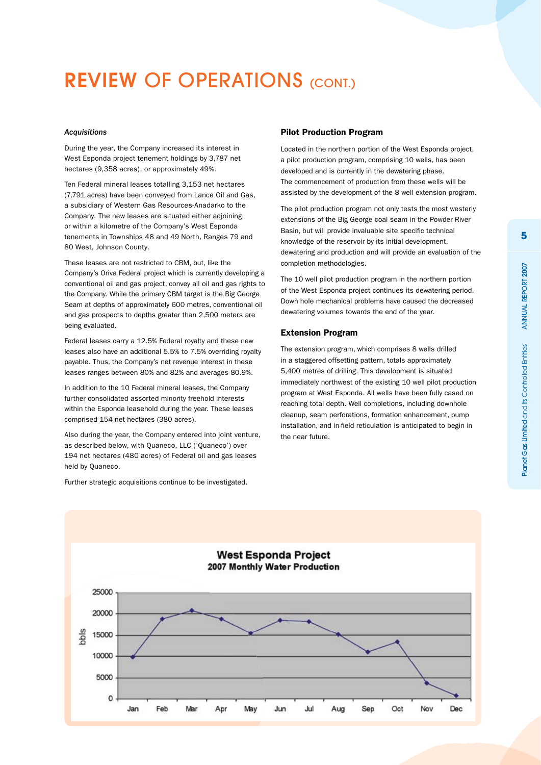### *Acquisitions*

During the year, the Company increased its interest in West Esponda project tenement holdings by 3,787 net hectares (9,358 acres), or approximately 49%.

Ten Federal mineral leases totalling 3,153 net hectares (7,791 acres) have been conveyed from Lance Oil and Gas, a subsidiary of Western Gas Resources-Anadarko to the Company. The new leases are situated either adjoining or within a kilometre of the Company's West Esponda tenements in Townships 48 and 49 North, Ranges 79 and 80 West, Johnson County.

These leases are not restricted to CBM, but, like the Company's Oriva Federal project which is currently developing a conventional oil and gas project, convey all oil and gas rights to the Company. While the primary CBM target is the Big George Seam at depths of approximately 600 metres, conventional oil and gas prospects to depths greater than 2,500 meters are being evaluated.

Federal leases carry a 12.5% Federal royalty and these new leases also have an additional 5.5% to 7.5% overriding royalty payable. Thus, the Company's net revenue interest in these leases ranges between 80% and 82% and averages 80.9%.

In addition to the 10 Federal mineral leases, the Company further consolidated assorted minority freehold interests within the Esponda leasehold during the year. These leases comprised 154 net hectares (380 acres).

Also during the year, the Company entered into joint venture, as described below, with Quaneco, LLC ('Quaneco') over 194 net hectares (480 acres) of Federal oil and gas leases held by Quaneco.

Further strategic acquisitions continue to be investigated.

## Pilot Production Program

Located in the northern portion of the West Esponda project, a pilot production program, comprising 10 wells, has been developed and is currently in the dewatering phase. The commencement of production from these wells will be assisted by the development of the 8 well extension program.

The pilot production program not only tests the most westerly extensions of the Big George coal seam in the Powder River Basin, but will provide invaluable site specific technical knowledge of the reservoir by its initial development, dewatering and production and will provide an evaluation of the completion methodologies.

The 10 well pilot production program in the northern portion of the West Esponda project continues its dewatering period. Down hole mechanical problems have caused the decreased dewatering volumes towards the end of the year.

### Extension Program

The extension program, which comprises 8 wells drilled in a staggered offsetting pattern, totals approximately 5,400 metres of drilling. This development is situated immediately northwest of the existing 10 well pilot production program at West Esponda. All wells have been fully cased on reaching total depth. Well completions, including downhole cleanup, seam perforations, formation enhancement, pump installation, and in-field reticulation is anticipated to begin in the near future.



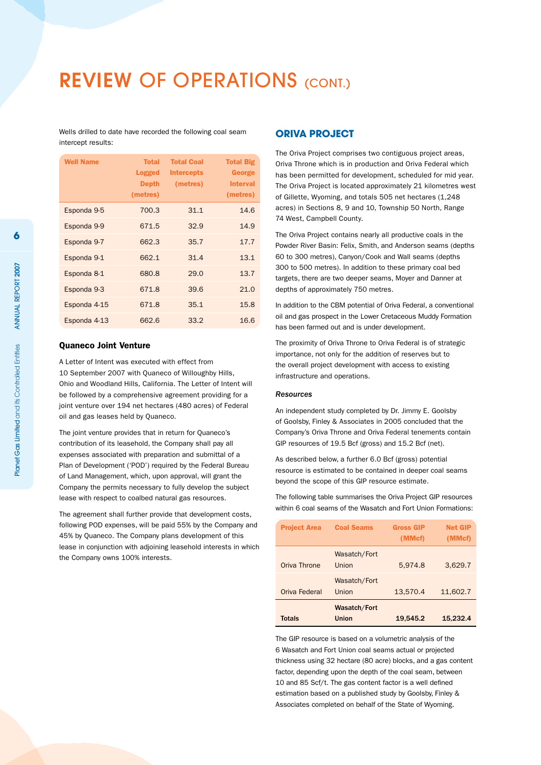Wells drilled to date have recorded the following coal seam intercept results:

| <b>Well Name</b> | <b>Total</b><br><b>Logged</b><br><b>Depth</b><br>(metres) | <b>Total Coal</b><br><b>Intercepts</b><br>(metres) | <b>Total Big</b><br>George<br><b>Interval</b><br>(metres) |
|------------------|-----------------------------------------------------------|----------------------------------------------------|-----------------------------------------------------------|
| Esponda 9-5      | 700.3                                                     | 31.1                                               | 14.6                                                      |
| Esponda 9-9      | 671.5                                                     | 32.9                                               | 14.9                                                      |
| Esponda 9-7      | 662.3                                                     | 35.7                                               | 17.7                                                      |
| Esponda 9-1      | 662.1                                                     | 31.4                                               | 13.1                                                      |
| Esponda 8-1      | 680.8                                                     | 29.0                                               | 13.7                                                      |
| Esponda 9-3      | 671.8                                                     | 39.6                                               | 21.0                                                      |
| Esponda 4-15     | 671.8                                                     | 35.1                                               | 15.8                                                      |
| Esponda 4-13     | 662.6                                                     | 33.2                                               | 16.6                                                      |

### Quaneco Joint Venture

A Letter of Intent was executed with effect from 10 September 2007 with Quaneco of Willoughby Hills, Ohio and Woodland Hills, California. The Letter of Intent will be followed by a comprehensive agreement providing for a joint venture over 194 net hectares (480 acres) of Federal oil and gas leases held by Quaneco.

The joint venture provides that in return for Quaneco's contribution of its leasehold, the Company shall pay all expenses associated with preparation and submittal of a Plan of Development ('POD') required by the Federal Bureau of Land Management, which, upon approval, will grant the Company the permits necessary to fully develop the subject lease with respect to coalbed natural gas resources.

The agreement shall further provide that development costs, following POD expenses, will be paid 55% by the Company and 45% by Quaneco. The Company plans development of this lease in conjunction with adjoining leasehold interests in which the Company owns 100% interests.

## **ORIVA PROJECT**

The Oriva Project comprises two contiguous project areas, Oriva Throne which is in production and Oriva Federal which has been permitted for development, scheduled for mid year. The Oriva Project is located approximately 21 kilometres west of Gillette, Wyoming, and totals 505 net hectares (1,248 acres) in Sections 8, 9 and 10, Township 50 North, Range 74 West, Campbell County.

The Oriva Project contains nearly all productive coals in the Powder River Basin: Felix, Smith, and Anderson seams (depths 60 to 300 metres), Canyon/Cook and Wall seams (depths 300 to 500 metres). In addition to these primary coal bed targets, there are two deeper seams, Moyer and Danner at depths of approximately 750 metres.

In addition to the CBM potential of Oriva Federal, a conventional oil and gas prospect in the Lower Cretaceous Muddy Formation has been farmed out and is under development.

The proximity of Oriva Throne to Oriva Federal is of strategic importance, not only for the addition of reserves but to the overall project development with access to existing infrastructure and operations.

### *Resources*

An independent study completed by Dr. Jimmy E. Goolsby of Goolsby, Finley & Associates in 2005 concluded that the Company's Oriva Throne and Oriva Federal tenements contain GIP resources of 19.5 Bcf (gross) and 15.2 Bcf (net).

As described below, a further 6.0 Bcf (gross) potential resource is estimated to be contained in deeper coal seams beyond the scope of this GIP resource estimate.

The following table summarises the Oriva Project GIP resources within 6 coal seams of the Wasatch and Fort Union Formations:

| <b>Project Area</b> | <b>Coal Seams</b>            | <b>Gross GIP</b><br>(MMcf) | <b>Net GIP</b><br>(MMcf) |
|---------------------|------------------------------|----------------------------|--------------------------|
| Oriva Throne        | Wasatch/Fort<br>Union        | 5,974.8                    | 3,629.7                  |
| Oriva Federal       | Wasatch/Fort<br>Union        | 13,570.4                   | 11,602.7                 |
| <b>Totals</b>       | Wasatch/Fort<br><b>Union</b> | 19,545.2                   | 15,232.4                 |

The GIP resource is based on a volumetric analysis of the 6 Wasatch and Fort Union coal seams actual or projected thickness using 32 hectare (80 acre) blocks, and a gas content factor, depending upon the depth of the coal seam, between 10 and 85 Scf/t. The gas content factor is a well defined estimation based on a published study by Goolsby, Finley & Associates completed on behalf of the State of Wyoming.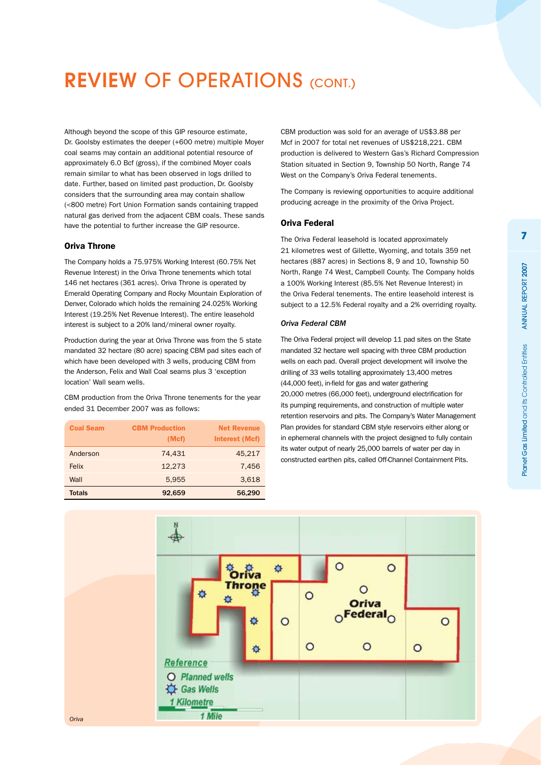Although beyond the scope of this GIP resource estimate, Dr. Goolsby estimates the deeper (+600 metre) multiple Moyer coal seams may contain an additional potential resource of approximately 6.0 Bcf (gross), if the combined Moyer coals remain similar to what has been observed in logs drilled to date. Further, based on limited past production, Dr. Goolsby considers that the surrounding area may contain shallow (<800 metre) Fort Union Formation sands containing trapped natural gas derived from the adjacent CBM coals. These sands have the potential to further increase the GIP resource.

## Oriva Throne

The Company holds a 75.975% Working Interest (60.75% Net Revenue Interest) in the Oriva Throne tenements which total 146 net hectares (361 acres). Oriva Throne is operated by Emerald Operating Company and Rocky Mountain Exploration of Denver, Colorado which holds the remaining 24.025% Working Interest (19.25% Net Revenue Interest). The entire leasehold interest is subject to a 20% land/mineral owner royalty.

Production during the year at Oriva Throne was from the 5 state mandated 32 hectare (80 acre) spacing CBM pad sites each of which have been developed with 3 wells, producing CBM from the Anderson, Felix and Wall Coal seams plus 3 'exception location' Wall seam wells.

CBM production from the Oriva Throne tenements for the year ended 31 December 2007 was as follows:

| <b>Coal Seam</b> | <b>CBM Production</b><br>(Mcf) | <b>Net Revenue</b><br><b>Interest (Mcf)</b> |
|------------------|--------------------------------|---------------------------------------------|
| Anderson         | 74.431                         | 45.217                                      |
| Felix            | 12.273                         | 7,456                                       |
| Wall             | 5.955                          | 3,618                                       |
| Totals           | 92,659                         | 56,290                                      |

CBM production was sold for an average of US\$3.88 per Mcf in 2007 for total net revenues of US\$218,221. CBM production is delivered to Western Gas's Richard Compression Station situated in Section 9, Township 50 North, Range 74 West on the Company's Oriva Federal tenements.

The Company is reviewing opportunities to acquire additional producing acreage in the proximity of the Oriva Project.

### Oriva Federal

The Oriva Federal leasehold is located approximately 21 kilometres west of Gillette, Wyoming, and totals 359 net hectares (887 acres) in Sections 8, 9 and 10, Township 50 North, Range 74 West, Campbell County. The Company holds a 100% Working Interest (85.5% Net Revenue Interest) in the Oriva Federal tenements. The entire leasehold interest is subject to a 12.5% Federal royalty and a 2% overriding royalty.

### *Oriva Federal CBM*

The Oriva Federal project will develop 11 pad sites on the State mandated 32 hectare well spacing with three CBM production wells on each pad. Overall project development will involve the drilling of 33 wells totalling approximately 13,400 metres (44,000 feet), in-field for gas and water gathering 20,000 metres (66,000 feet), underground electrification for its pumping requirements, and construction of multiple water retention reservoirs and pits. The Company's Water Management Plan provides for standard CBM style reservoirs either along or in ephemeral channels with the project designed to fully contain its water output of nearly 25,000 barrels of water per day in constructed earthen pits, called Off-Channel Containment Pits.



*Oriva*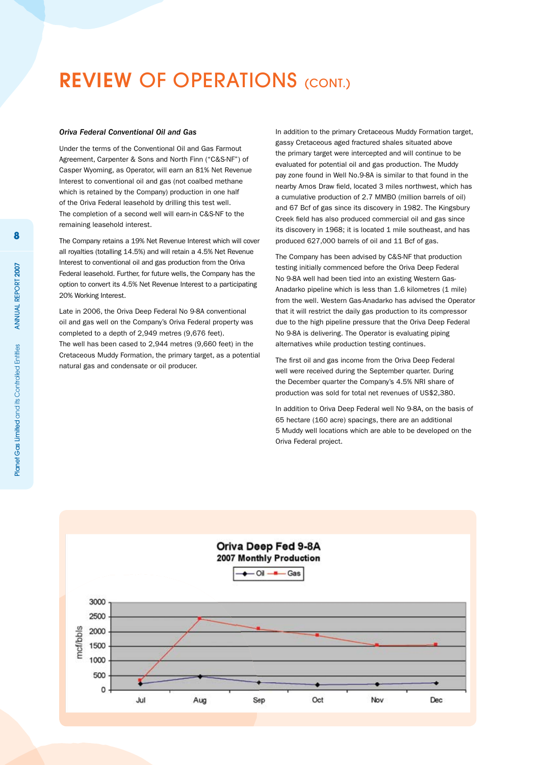#### *Oriva Federal Conventional Oil and Gas*

Under the terms of the Conventional Oil and Gas Farmout Agreement, Carpenter & Sons and North Finn ("C&S-NF") of Casper Wyoming, as Operator, will earn an 81% Net Revenue Interest to conventional oil and gas (not coalbed methane which is retained by the Company) production in one half of the Oriva Federal leasehold by drilling this test well. The completion of a second well will earn-in C&S-NF to the remaining leasehold interest.

The Company retains a 19% Net Revenue Interest which will cover all royalties (totalling 14.5%) and will retain a 4.5% Net Revenue Interest to conventional oil and gas production from the Oriva Federal leasehold. Further, for future wells, the Company has the option to convert its 4.5% Net Revenue Interest to a participating 20% Working Interest.

Late in 2006, the Oriva Deep Federal No 9-8A conventional oil and gas well on the Company's Oriva Federal property was completed to a depth of 2,949 metres (9,676 feet). The well has been cased to 2,944 metres (9,660 feet) in the Cretaceous Muddy Formation, the primary target, as a potential natural gas and condensate or oil producer.

In addition to the primary Cretaceous Muddy Formation target, gassy Cretaceous aged fractured shales situated above the primary target were intercepted and will continue to be evaluated for potential oil and gas production. The Muddy pay zone found in Well No.9-8A is similar to that found in the nearby Amos Draw field, located 3 miles northwest, which has a cumulative production of 2.7 MMBO (million barrels of oil) and 67 Bcf of gas since its discovery in 1982. The Kingsbury Creek field has also produced commercial oil and gas since its discovery in 1968; it is located 1 mile southeast, and has produced 627,000 barrels of oil and 11 Bcf of gas.

The Company has been advised by C&S-NF that production testing initially commenced before the Oriva Deep Federal No 9-8A well had been tied into an existing Western Gas-Anadarko pipeline which is less than 1.6 kilometres (1 mile) from the well. Western Gas-Anadarko has advised the Operator that it will restrict the daily gas production to its compressor due to the high pipeline pressure that the Oriva Deep Federal No 9-8A is delivering. The Operator is evaluating piping alternatives while production testing continues.

The first oil and gas income from the Oriva Deep Federal well were received during the September quarter. During the December quarter the Company's 4.5% NRI share of production was sold for total net revenues of US\$2,380.

In addition to Oriva Deep Federal well No 9-8A, on the basis of 65 hectare (160 acre) spacings, there are an additional 5 Muddy well locations which are able to be developed on the Oriva Federal project.

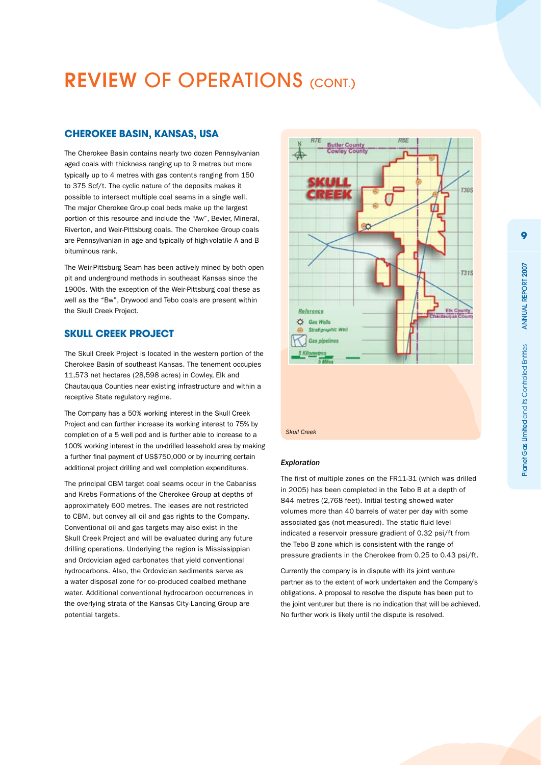## **CHEROKEE BASIN, KANSAS, USA**

The Cherokee Basin contains nearly two dozen Pennsylvanian aged coals with thickness ranging up to 9 metres but more typically up to 4 metres with gas contents ranging from 150 to 375 Scf/t. The cyclic nature of the deposits makes it possible to intersect multiple coal seams in a single well. The major Cherokee Group coal beds make up the largest portion of this resource and include the "Aw", Bevier, Mineral, Riverton, and Weir-Pittsburg coals. The Cherokee Group coals are Pennsylvanian in age and typically of high-volatile A and B bituminous rank.

The Weir-Pittsburg Seam has been actively mined by both open pit and underground methods in southeast Kansas since the 1900s. With the exception of the Weir-Pittsburg coal these as well as the "Bw", Drywood and Tebo coals are present within the Skull Creek Project.

## **SKULL CREEK PROJECT**

The Skull Creek Project is located in the western portion of the Cherokee Basin of southeast Kansas. The tenement occupies 11,573 net hectares (28,598 acres) in Cowley, Elk and Chautauqua Counties near existing infrastructure and within a receptive State regulatory regime.

The Company has a 50% working interest in the Skull Creek Project and can further increase its working interest to 75% by completion of a 5 well pod and is further able to increase to a 100% working interest in the un-drilled leasehold area by making a further final payment of US\$750,000 or by incurring certain additional project drilling and well completion expenditures.

The principal CBM target coal seams occur in the Cabaniss and Krebs Formations of the Cherokee Group at depths of approximately 600 metres. The leases are not restricted to CBM, but convey all oil and gas rights to the Company. Conventional oil and gas targets may also exist in the Skull Creek Project and will be evaluated during any future drilling operations. Underlying the region is Mississippian and Ordovician aged carbonates that yield conventional hydrocarbons. Also, the Ordovician sediments serve as a water disposal zone for co-produced coalbed methane water. Additional conventional hydrocarbon occurrences in the overlying strata of the Kansas City-Lancing Group are potential targets.



*Skull Creek*

### *Exploration*

The first of multiple zones on the FR11-31 (which was drilled in 2005) has been completed in the Tebo B at a depth of 844 metres (2,768 feet). Initial testing showed water volumes more than 40 barrels of water per day with some associated gas (not measured). The static fluid level indicated a reservoir pressure gradient of 0.32 psi/ft from the Tebo B zone which is consistent with the range of pressure gradients in the Cherokee from 0.25 to 0.43 psi/ft.

Currently the company is in dispute with its joint venture partner as to the extent of work undertaken and the Company's obligations. A proposal to resolve the dispute has been put to the joint venturer but there is no indication that will be achieved. No further work is likely until the dispute is resolved.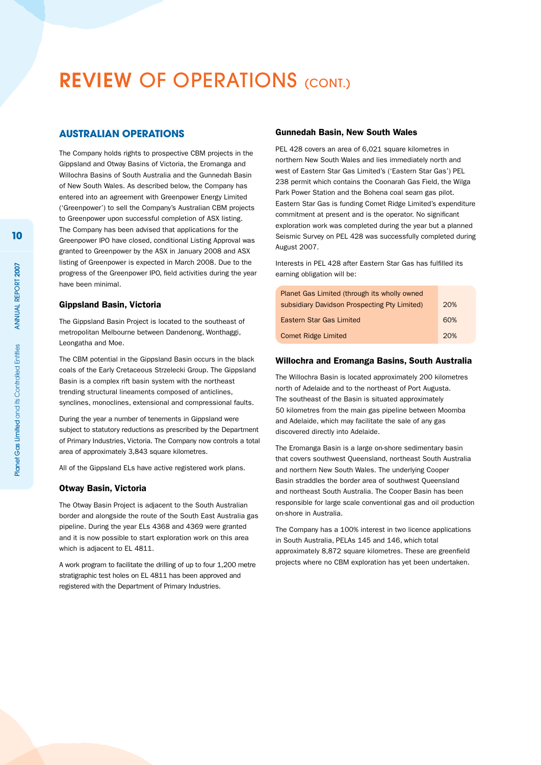## **AUSTRALIAN OPERATIONS**

The Company holds rights to prospective CBM projects in the Gippsland and Otway Basins of Victoria, the Eromanga and Willochra Basins of South Australia and the Gunnedah Basin of New South Wales. As described below, the Company has entered into an agreement with Greenpower Energy Limited ('Greenpower') to sell the Company's Australian CBM projects to Greenpower upon successful completion of ASX listing. The Company has been advised that applications for the Greenpower IPO have closed, conditional Listing Approval was granted to Greenpower by the ASX in January 2008 and ASX listing of Greenpower is expected in March 2008. Due to the progress of the Greenpower IPO, field activities during the year have been minimal.

### Gippsland Basin, Victoria

The Gippsland Basin Project is located to the southeast of metropolitan Melbourne between Dandenong, Wonthaggi, Leongatha and Moe.

The CBM potential in the Gippsland Basin occurs in the black coals of the Early Cretaceous Strzelecki Group. The Gippsland Basin is a complex rift basin system with the northeast trending structural lineaments composed of anticlines, synclines, monoclines, extensional and compressional faults.

During the year a number of tenements in Gippsland were subject to statutory reductions as prescribed by the Department of Primary Industries, Victoria. The Company now controls a total area of approximately 3,843 square kilometres.

All of the Gippsland ELs have active registered work plans.

### Otway Basin, Victoria

The Otway Basin Project is adjacent to the South Australian border and alongside the route of the South East Australia gas pipeline. During the year ELs 4368 and 4369 were granted and it is now possible to start exploration work on this area which is adjacent to EL 4811.

A work program to facilitate the drilling of up to four 1,200 metre stratigraphic test holes on EL 4811 has been approved and registered with the Department of Primary Industries.

### Gunnedah Basin, New South Wales

PEL 428 covers an area of 6,021 square kilometres in northern New South Wales and lies immediately north and west of Eastern Star Gas Limited's ('Eastern Star Gas') PEL 238 permit which contains the Coonarah Gas Field, the Wilga Park Power Station and the Bohena coal seam gas pilot. Eastern Star Gas is funding Comet Ridge Limited's expenditure commitment at present and is the operator. No significant exploration work was completed during the year but a planned Seismic Survey on PEL 428 was successfully completed during August 2007.

Interests in PEL 428 after Eastern Star Gas has fulfilled its earning obligation will be:

| Planet Gas Limited (through its wholly owned |     |
|----------------------------------------------|-----|
| subsidiary Davidson Prospecting Pty Limited) | 20% |
| <b>Eastern Star Gas Limited</b>              | 60% |
| <b>Comet Ridge Limited</b>                   | 20% |

### Willochra and Eromanga Basins, South Australia

The Willochra Basin is located approximately 200 kilometres north of Adelaide and to the northeast of Port Augusta. The southeast of the Basin is situated approximately 50 kilometres from the main gas pipeline between Moomba and Adelaide, which may facilitate the sale of any gas discovered directly into Adelaide.

The Eromanga Basin is a large on-shore sedimentary basin that covers southwest Queensland, northeast South Australia and northern New South Wales. The underlying Cooper Basin straddles the border area of southwest Queensland and northeast South Australia. The Cooper Basin has been responsible for large scale conventional gas and oil production on-shore in Australia.

The Company has a 100% interest in two licence applications in South Australia, PELAs 145 and 146, which total approximately 8,872 square kilometres. These are greenfield projects where no CBM exploration has yet been undertaken.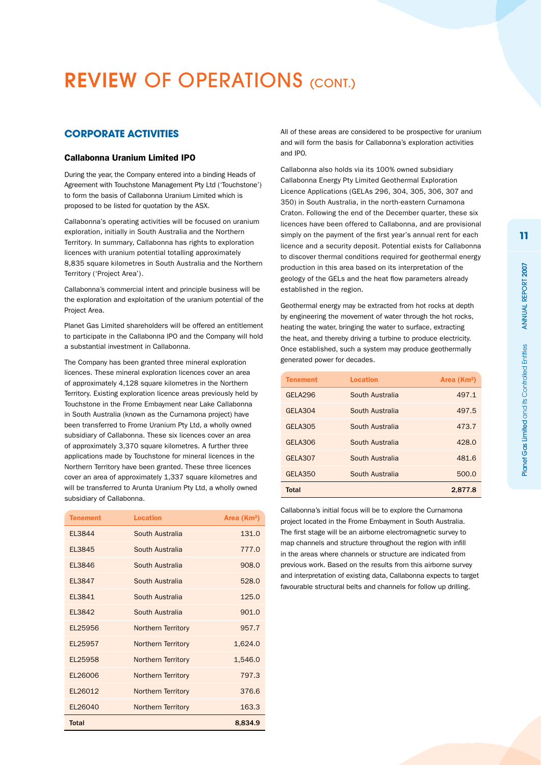# **CORPORATE ACTIVITIES**

### Callabonna Uranium Limited IPO

During the year, the Company entered into a binding Heads of Agreement with Touchstone Management Pty Ltd ('Touchstone') to form the basis of Callabonna Uranium Limited which is proposed to be listed for quotation by the ASX.

Callabonna's operating activities will be focused on uranium exploration, initially in South Australia and the Northern Territory. In summary, Callabonna has rights to exploration licences with uranium potential totalling approximately 8,835 square kilometres in South Australia and the Northern Territory ('Project Area').

Callabonna's commercial intent and principle business will be the exploration and exploitation of the uranium potential of the Project Area.

Planet Gas Limited shareholders will be offered an entitlement to participate in the Callabonna IPO and the Company will hold a substantial investment in Callabonna.

The Company has been granted three mineral exploration licences. These mineral exploration licences cover an area of approximately 4,128 square kilometres in the Northern Territory. Existing exploration licence areas previously held by Touchstone in the Frome Embayment near Lake Callabonna in South Australia (known as the Curnamona project) have been transferred to Frome Uranium Pty Ltd, a wholly owned subsidiary of Callabonna. These six licences cover an area of approximately 3,370 square kilometres. A further three applications made by Touchstone for mineral licences in the Northern Territory have been granted. These three licences cover an area of approximately 1,337 square kilometres and will be transferred to Arunta Uranium Pty Ltd, a wholly owned subsidiary of Callabonna.

| <b>Tenement</b> | <b>Location</b>           | Area (Km <sup>2</sup> ) |
|-----------------|---------------------------|-------------------------|
| FI3844          | South Australia           | 131.0                   |
| FI 3845         | South Australia           | 777.0                   |
| FI3846          | South Australia           | 908.0                   |
| FI 3847         | South Australia           | 528.0                   |
| FI 3841         | South Australia           | 125.0                   |
| FI 3842         | South Australia           | 901.0                   |
| FI 25956        | <b>Northern Territory</b> | 957.7                   |
| FI 25957        | <b>Northern Territory</b> | 1,624.0                 |
| FI 25958        | <b>Northern Territory</b> | 1,546.0                 |
| FI 26006        | <b>Northern Territory</b> | 797.3                   |
| FI 26012        | <b>Northern Territory</b> | 376.6                   |
| FI 26040        | <b>Northern Territory</b> | 163.3                   |
| <b>Total</b>    |                           | 8.834.9                 |

All of these areas are considered to be prospective for uranium and will form the basis for Callabonna's exploration activities and IPO.

Callabonna also holds via its 100% owned subsidiary Callabonna Energy Pty Limited Geothermal Exploration Licence Applications (GELAs 296, 304, 305, 306, 307 and 350) in South Australia, in the north-eastern Curnamona Craton. Following the end of the December quarter, these six licences have been offered to Callabonna, and are provisional simply on the payment of the first year's annual rent for each licence and a security deposit. Potential exists for Callabonna to discover thermal conditions required for geothermal energy production in this area based on its interpretation of the geology of the GELs and the heat flow parameters already established in the region.

Geothermal energy may be extracted from hot rocks at depth by engineering the movement of water through the hot rocks, heating the water, bringing the water to surface, extracting the heat, and thereby driving a turbine to produce electricity. Once established, such a system may produce geothermally generated power for decades.

| <b>Tenement</b> | <b>Location</b> | Area (Km <sup>2</sup> ) |
|-----------------|-----------------|-------------------------|
| GELA296         | South Australia | 497.1                   |
| GELA304         | South Australia | 497.5                   |
| GELA305         | South Australia | 473.7                   |
| GFI A306        | South Australia | 428.0                   |
| GELA307         | South Australia | 481.6                   |
| GELA350         | South Australia | 500.0                   |
| Total           |                 | 2.877.8                 |

Callabonna's initial focus will be to explore the Curnamona project located in the Frome Embayment in South Australia. The first stage will be an airborne electromagnetic survey to map channels and structure throughout the region with infill in the areas where channels or structure are indicated from previous work. Based on the results from this airborne survey and interpretation of existing data, Callabonna expects to target favourable structural belts and channels for follow up drilling.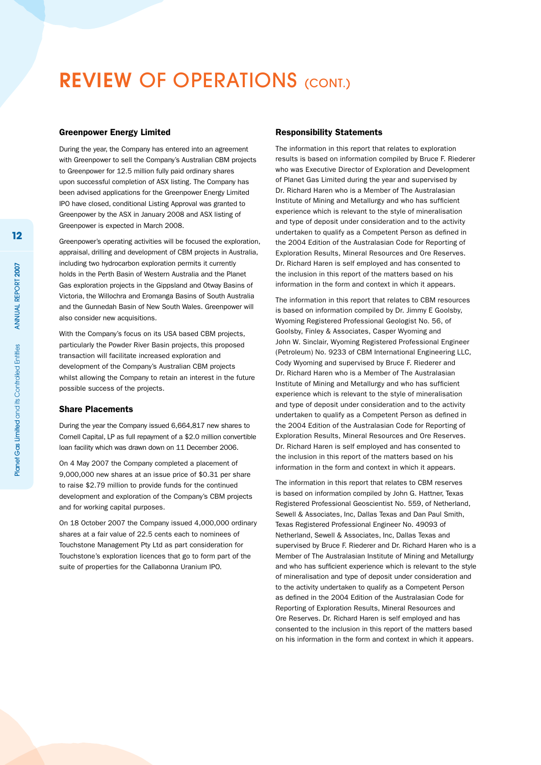### Greenpower Energy Limited

During the year, the Company has entered into an agreement with Greenpower to sell the Company's Australian CBM projects to Greenpower for 12.5 million fully paid ordinary shares upon successful completion of ASX listing. The Company has been advised applications for the Greenpower Energy Limited IPO have closed, conditional Listing Approval was granted to Greenpower by the ASX in January 2008 and ASX listing of Greenpower is expected in March 2008.

Greenpower's operating activities will be focused the exploration, appraisal, drilling and development of CBM projects in Australia, including two hydrocarbon exploration permits it currently holds in the Perth Basin of Western Australia and the Planet Gas exploration projects in the Gippsland and Otway Basins of Victoria, the Willochra and Eromanga Basins of South Australia and the Gunnedah Basin of New South Wales. Greenpower will also consider new acquisitions.

With the Company's focus on its USA based CBM projects, particularly the Powder River Basin projects, this proposed transaction will facilitate increased exploration and development of the Company's Australian CBM projects whilst allowing the Company to retain an interest in the future possible success of the projects.

### Share Placements

During the year the Company issued 6,664,817 new shares to Cornell Capital, LP as full repayment of a \$2.0 million convertible loan facility which was drawn down on 11 December 2006.

On 4 May 2007 the Company completed a placement of 9,000,000 new shares at an issue price of \$0.31 per share to raise \$2.79 million to provide funds for the continued development and exploration of the Company's CBM projects and for working capital purposes.

On 18 October 2007 the Company issued 4,000,000 ordinary shares at a fair value of 22.5 cents each to nominees of Touchstone Management Pty Ltd as part consideration for Touchstone's exploration licences that go to form part of the suite of properties for the Callabonna Uranium IPO.

### Responsibility Statements

The information in this report that relates to exploration results is based on information compiled by Bruce F. Riederer who was Executive Director of Exploration and Development of Planet Gas Limited during the year and supervised by Dr. Richard Haren who is a Member of The Australasian Institute of Mining and Metallurgy and who has sufficient experience which is relevant to the style of mineralisation and type of deposit under consideration and to the activity undertaken to qualify as a Competent Person as defined in the 2004 Edition of the Australasian Code for Reporting of Exploration Results, Mineral Resources and Ore Reserves. Dr. Richard Haren is self employed and has consented to the inclusion in this report of the matters based on his information in the form and context in which it appears.

The information in this report that relates to CBM resources is based on information compiled by Dr. Jimmy E Goolsby, Wyoming Registered Professional Geologist No. 56, of Goolsby, Finley & Associates, Casper Wyoming and John W. Sinclair, Wyoming Registered Professional Engineer (Petroleum) No. 9233 of CBM International Engineering LLC, Cody Wyoming and supervised by Bruce F. Riederer and Dr. Richard Haren who is a Member of The Australasian Institute of Mining and Metallurgy and who has sufficient experience which is relevant to the style of mineralisation and type of deposit under consideration and to the activity undertaken to qualify as a Competent Person as defined in the 2004 Edition of the Australasian Code for Reporting of Exploration Results, Mineral Resources and Ore Reserves. Dr. Richard Haren is self employed and has consented to the inclusion in this report of the matters based on his information in the form and context in which it appears.

The information in this report that relates to CBM reserves is based on information compiled by John G. Hattner, Texas Registered Professional Geoscientist No. 559, of Netherland, Sewell & Associates, Inc, Dallas Texas and Dan Paul Smith, Texas Registered Professional Engineer No. 49093 of Netherland, Sewell & Associates, Inc, Dallas Texas and supervised by Bruce F. Riederer and Dr. Richard Haren who is a Member of The Australasian Institute of Mining and Metallurgy and who has sufficient experience which is relevant to the style of mineralisation and type of deposit under consideration and to the activity undertaken to qualify as a Competent Person as defined in the 2004 Edition of the Australasian Code for Reporting of Exploration Results, Mineral Resources and Ore Reserves. Dr. Richard Haren is self employed and has consented to the inclusion in this report of the matters based on his information in the form and context in which it appears.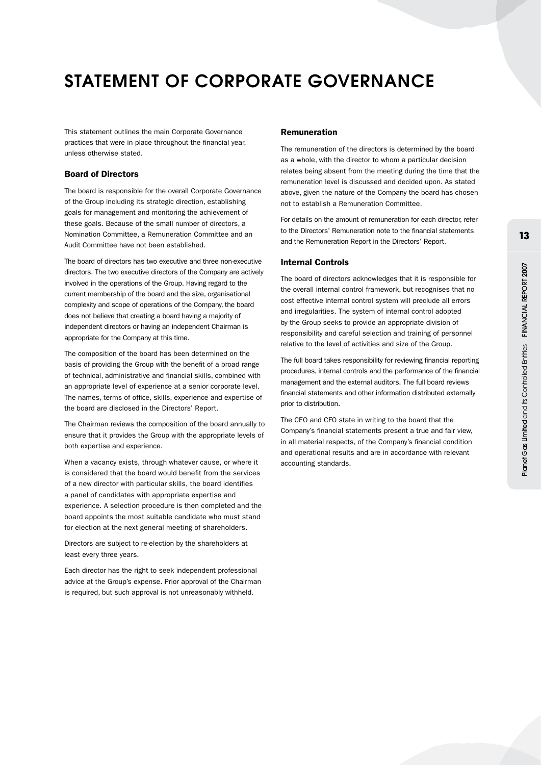# STATEMENT OF CORPORATE GOVERNANCE

This statement outlines the main Corporate Governance practices that were in place throughout the financial year, unless otherwise stated.

## Board of Directors

The board is responsible for the overall Corporate Governance of the Group including its strategic direction, establishing goals for management and monitoring the achievement of these goals. Because of the small number of directors, a Nomination Committee, a Remuneration Committee and an Audit Committee have not been established.

The board of directors has two executive and three non-executive directors. The two executive directors of the Company are actively involved in the operations of the Group. Having regard to the current membership of the board and the size, organisational complexity and scope of operations of the Company, the board does not believe that creating a board having a majority of independent directors or having an independent Chairman is appropriate for the Company at this time.

The composition of the board has been determined on the basis of providing the Group with the benefit of a broad range of technical, administrative and financial skills, combined with an appropriate level of experience at a senior corporate level. The names, terms of office, skills, experience and expertise of the board are disclosed in the Directors' Report.

The Chairman reviews the composition of the board annually to ensure that it provides the Group with the appropriate levels of both expertise and experience.

When a vacancy exists, through whatever cause, or where it is considered that the board would benefit from the services of a new director with particular skills, the board identifies a panel of candidates with appropriate expertise and experience. A selection procedure is then completed and the board appoints the most suitable candidate who must stand for election at the next general meeting of shareholders.

Directors are subject to re-election by the shareholders at least every three years.

Each director has the right to seek independent professional advice at the Group's expense. Prior approval of the Chairman is required, but such approval is not unreasonably withheld.

### Remuneration

The remuneration of the directors is determined by the board as a whole, with the director to whom a particular decision relates being absent from the meeting during the time that the remuneration level is discussed and decided upon. As stated above, given the nature of the Company the board has chosen not to establish a Remuneration Committee.

For details on the amount of remuneration for each director, refer to the Directors' Remuneration note to the financial statements and the Remuneration Report in the Directors' Report.

### Internal Controls

The board of directors acknowledges that it is responsible for the overall internal control framework, but recognises that no cost effective internal control system will preclude all errors and irregularities. The system of internal control adopted by the Group seeks to provide an appropriate division of responsibility and careful selection and training of personnel relative to the level of activities and size of the Group.

The full board takes responsibility for reviewing financial reporting procedures, internal controls and the performance of the financial management and the external auditors. The full board reviews financial statements and other information distributed externally prior to distribution.

The CEO and CFO state in writing to the board that the Company's financial statements present a true and fair view, in all material respects, of the Company's financial condition and operational results and are in accordance with relevant accounting standards.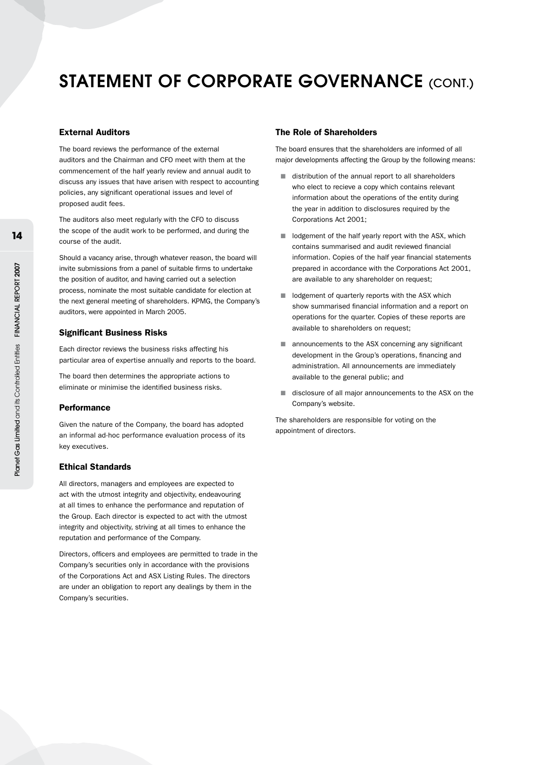# STATEMENT OF CORPORATE GOVERNANCE (cont.)

#### External Auditors

The board reviews the performance of the external auditors and the Chairman and CFO meet with them at the commencement of the half yearly review and annual audit to discuss any issues that have arisen with respect to accounting policies, any significant operational issues and level of proposed audit fees.

The auditors also meet regularly with the CFO to discuss the scope of the audit work to be performed, and during the course of the audit.

Should a vacancy arise, through whatever reason, the board will invite submissions from a panel of suitable firms to undertake the position of auditor, and having carried out a selection process, nominate the most suitable candidate for election at the next general meeting of shareholders. KPMG, the Company's auditors, were appointed in March 2005.

### Significant Business Risks

Each director reviews the business risks affecting his particular area of expertise annually and reports to the board.

The board then determines the appropriate actions to eliminate or minimise the identified business risks.

### **Performance**

Given the nature of the Company, the board has adopted an informal ad-hoc performance evaluation process of its key executives.

### Ethical Standards

All directors, managers and employees are expected to act with the utmost integrity and objectivity, endeavouring at all times to enhance the performance and reputation of the Group. Each director is expected to act with the utmost integrity and objectivity, striving at all times to enhance the reputation and performance of the Company.

Directors, officers and employees are permitted to trade in the Company's securities only in accordance with the provisions of the Corporations Act and ASX Listing Rules. The directors are under an obligation to report any dealings by them in the Company's securities.

### The Role of Shareholders

The board ensures that the shareholders are informed of all major developments affecting the Group by the following means:

- distribution of the annual report to all shareholders who elect to recieve a copy which contains relevant information about the operations of the entity during the year in addition to disclosures required by the Corporations Act 2001;
- lodgement of the half yearly report with the ASX, which contains summarised and audit reviewed financial information. Copies of the half year financial statements prepared in accordance with the Corporations Act 2001, are available to any shareholder on request;
- lodgement of quarterly reports with the ASX which show summarised financial information and a report on operations for the quarter. Copies of these reports are available to shareholders on request;
- announcements to the ASX concerning any significant development in the Group's operations, financing and administration. All announcements are immediately available to the general public; and
- disclosure of all major announcements to the ASX on the Company's website.

The shareholders are responsible for voting on the appointment of directors.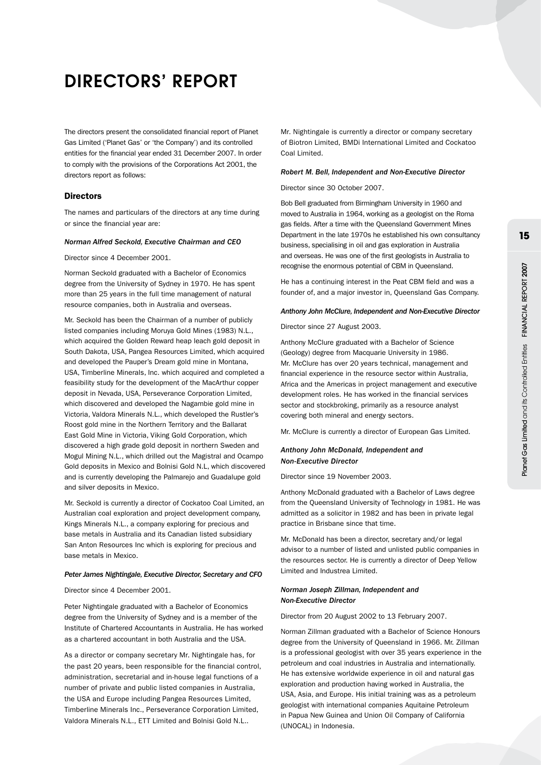# DIRECTORS' REPORT

The directors present the consolidated financial report of Planet Gas Limited ('Planet Gas' or 'the Company') and its controlled entities for the financial year ended 31 December 2007. In order to comply with the provisions of the Corporations Act 2001, the directors report as follows:

### **Directors**

The names and particulars of the directors at any time during or since the financial year are:

#### *Norman Alfred Seckold, Executive Chairman and CEO*

Director since 4 December 2001.

Norman Seckold graduated with a Bachelor of Economics degree from the University of Sydney in 1970. He has spent more than 25 years in the full time management of natural resource companies, both in Australia and overseas.

Mr. Seckold has been the Chairman of a number of publicly listed companies including Moruya Gold Mines (1983) N.L., which acquired the Golden Reward heap leach gold deposit in South Dakota, USA, Pangea Resources Limited, which acquired and developed the Pauper's Dream gold mine in Montana, USA, Timberline Minerals, Inc. which acquired and completed a feasibility study for the development of the MacArthur copper deposit in Nevada, USA, Perseverance Corporation Limited, which discovered and developed the Nagambie gold mine in Victoria, Valdora Minerals N.L., which developed the Rustler's Roost gold mine in the Northern Territory and the Ballarat East Gold Mine in Victoria, Viking Gold Corporation, which discovered a high grade gold deposit in northern Sweden and Mogul Mining N.L., which drilled out the Magistral and Ocampo Gold deposits in Mexico and Bolnisi Gold N.L, which discovered and is currently developing the Palmarejo and Guadalupe gold and silver deposits in Mexico.

Mr. Seckold is currently a director of Cockatoo Coal Limited, an Australian coal exploration and project development company, Kings Minerals N.L., a company exploring for precious and base metals in Australia and its Canadian listed subsidiary San Anton Resources Inc which is exploring for precious and base metals in Mexico.

#### *Peter James Nightingale, Executive Director, Secretary and CFO*

Director since 4 December 2001.

Peter Nightingale graduated with a Bachelor of Economics degree from the University of Sydney and is a member of the Institute of Chartered Accountants in Australia. He has worked as a chartered accountant in both Australia and the USA.

As a director or company secretary Mr. Nightingale has, for the past 20 years, been responsible for the financial control, administration, secretarial and in-house legal functions of a number of private and public listed companies in Australia, the USA and Europe including Pangea Resources Limited, Timberline Minerals Inc., Perseverance Corporation Limited, Valdora Minerals N.L., ETT Limited and Bolnisi Gold N.L..

Mr. Nightingale is currently a director or company secretary of Biotron Limited, BMDi International Limited and Cockatoo Coal Limited.

### *Robert M. Bell, Independent and Non-Executive Director*

Director since 30 October 2007.

Bob Bell graduated from Birmingham University in 1960 and moved to Australia in 1964, working as a geologist on the Roma gas fields. After a time with the Queensland Government Mines Department in the late 1970s he established his own consultancy business, specialising in oil and gas exploration in Australia and overseas. He was one of the first geologists in Australia to recognise the enormous potential of CBM in Queensland.

He has a continuing interest in the Peat CBM field and was a founder of, and a major investor in, Queensland Gas Company.

#### *Anthony John McClure, Independent and Non-Executive Director*

Director since 27 August 2003.

Anthony McClure graduated with a Bachelor of Science (Geology) degree from Macquarie University in 1986. Mr. McClure has over 20 years technical, management and financial experience in the resource sector within Australia, Africa and the Americas in project management and executive development roles. He has worked in the financial services sector and stockbroking, primarily as a resource analyst covering both mineral and energy sectors.

Mr. McClure is currently a director of European Gas Limited.

### *Anthony John McDonald, Independent and Non-Executive Director*

Director since 19 November 2003.

Anthony McDonald graduated with a Bachelor of Laws degree from the Queensland University of Technology in 1981. He was admitted as a solicitor in 1982 and has been in private legal practice in Brisbane since that time.

Mr. McDonald has been a director, secretary and/or legal advisor to a number of listed and unlisted public companies in the resources sector. He is currently a director of Deep Yellow Limited and Industrea Limited.

### *Norman Joseph Zillman, Independent and Non-Executive Director*

Director from 20 August 2002 to 13 February 2007.

Norman Zillman graduated with a Bachelor of Science Honours degree from the University of Queensland in 1966. Mr. Zillman is a professional geologist with over 35 years experience in the petroleum and coal industries in Australia and internationally. He has extensive worldwide experience in oil and natural gas exploration and production having worked in Australia, the USA, Asia, and Europe. His initial training was as a petroleum geologist with international companies Aquitaine Petroleum in Papua New Guinea and Union Oil Company of California (UNOCAL) in Indonesia.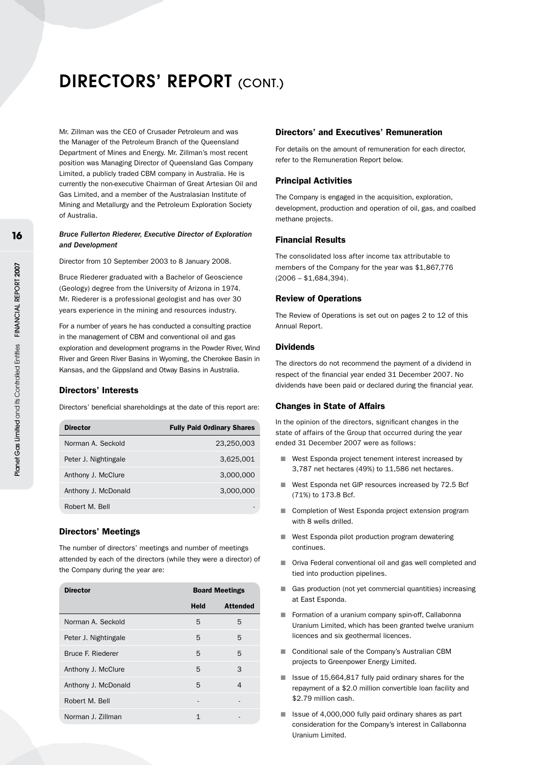# DIRECTORS' REPORT (CONT.)

Mr. Zillman was the CEO of Crusader Petroleum and was the Manager of the Petroleum Branch of the Queensland Department of Mines and Energy. Mr. Zillman's most recent position was Managing Director of Queensland Gas Company Limited, a publicly traded CBM company in Australia. He is currently the non-executive Chairman of Great Artesian Oil and Gas Limited, and a member of the Australasian Institute of Mining and Metallurgy and the Petroleum Exploration Society of Australia.

## *Bruce Fullerton Riederer, Executive Director of Exploration and Development*

Director from 10 September 2003 to 8 January 2008.

Bruce Riederer graduated with a Bachelor of Geoscience (Geology) degree from the University of Arizona in 1974. Mr. Riederer is a professional geologist and has over 30 years experience in the mining and resources industry.

For a number of years he has conducted a consulting practice in the management of CBM and conventional oil and gas exploration and development programs in the Powder River, Wind River and Green River Basins in Wyoming, the Cherokee Basin in Kansas, and the Gippsland and Otway Basins in Australia.

### Directors' Interests

Directors' beneficial shareholdings at the date of this report are:

| <b>Director</b>      | <b>Fully Paid Ordinary Shares</b> |
|----------------------|-----------------------------------|
| Norman A. Seckold    | 23,250,003                        |
| Peter J. Nightingale | 3.625.001                         |
| Anthony J. McClure   | 3,000,000                         |
| Anthony J. McDonald  | 3.000.000                         |
| Robert M. Bell       |                                   |

### Directors' Meetings

The number of directors' meetings and number of meetings attended by each of the directors (while they were a director) of the Company during the year are:

| <b>Director</b>      | <b>Board Meetings</b> |          |
|----------------------|-----------------------|----------|
|                      | <b>Held</b>           | Attended |
| Norman A. Seckold    | 5                     | 5        |
| Peter J. Nightingale | 5                     | 5        |
| Bruce F. Riederer    | 5                     | 5        |
| Anthony J. McClure   | 5                     | 3        |
| Anthony J. McDonald  | 5                     | 4        |
| Robert M. Bell       |                       |          |
| Norman J. Zillman    | 1                     |          |

### Directors' and Executives' Remuneration

For details on the amount of remuneration for each director, refer to the Remuneration Report below.

### Principal Activities

The Company is engaged in the acquisition, exploration, development, production and operation of oil, gas, and coalbed methane projects.

### Financial Results

The consolidated loss after income tax attributable to members of the Company for the year was \$1,867,776  $(2006 - $1,684,394)$ .

### Review of Operations

The Review of Operations is set out on pages 2 to 12 of this Annual Report.

### Dividends

The directors do not recommend the payment of a dividend in respect of the financial year ended 31 December 2007. No dividends have been paid or declared during the financial year.

### Changes in State of Affairs

In the opinion of the directors, significant changes in the state of affairs of the Group that occurred during the year ended 31 December 2007 were as follows:

- West Esponda project tenement interest increased by 3,787 net hectares (49%) to 11,586 net hectares.
- West Esponda net GIP resources increased by 72.5 Bcf (71%) to 173.8 Bcf.
- Completion of West Esponda project extension program with 8 wells drilled.
- West Esponda pilot production program dewatering continues.
- Oriva Federal conventional oil and gas well completed and tied into production pipelines.
- Gas production (not yet commercial quantities) increasing at East Esponda.
- Formation of a uranium company spin-off, Callabonna Uranium Limited, which has been granted twelve uranium licences and six geothermal licences.
- Conditional sale of the Company's Australian CBM projects to Greenpower Energy Limited.
- Issue of 15,664,817 fully paid ordinary shares for the repayment of a \$2.0 million convertible loan facility and \$2.79 million cash.
- Issue of 4,000,000 fully paid ordinary shares as part consideration for the Company's interest in Callabonna Uranium Limited.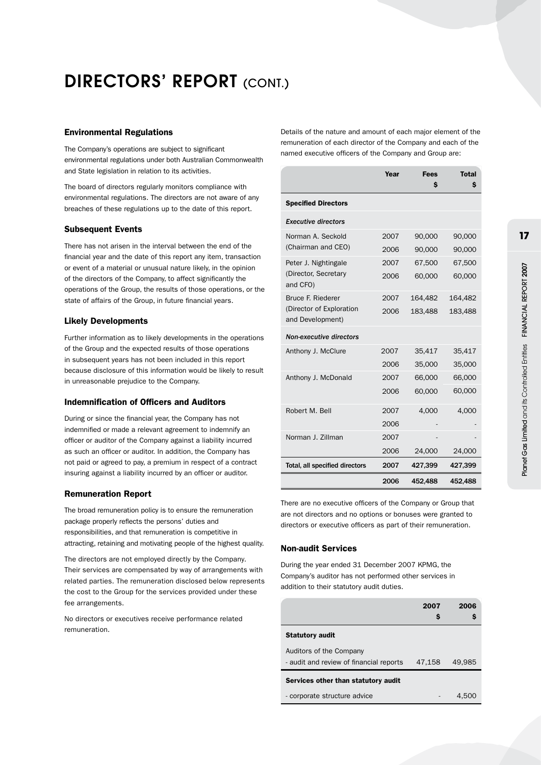### Environmental Regulations

The Company's operations are subject to significant environmental regulations under both Australian Commonwealth and State legislation in relation to its activities.

The board of directors regularly monitors compliance with environmental regulations. The directors are not aware of any breaches of these regulations up to the date of this report.

### Subsequent Events

There has not arisen in the interval between the end of the financial year and the date of this report any item, transaction or event of a material or unusual nature likely, in the opinion of the directors of the Company, to affect significantly the operations of the Group, the results of those operations, or the state of affairs of the Group, in future financial years.

### Likely Developments

Further information as to likely developments in the operations of the Group and the expected results of those operations in subsequent years has not been included in this report because disclosure of this information would be likely to result in unreasonable prejudice to the Company.

### Indemnification of Officers and Auditors

During or since the financial year, the Company has not indemnified or made a relevant agreement to indemnify an officer or auditor of the Company against a liability incurred as such an officer or auditor. In addition, the Company has not paid or agreed to pay, a premium in respect of a contract insuring against a liability incurred by an officer or auditor.

### Remuneration Report

The broad remuneration policy is to ensure the remuneration package properly reflects the persons' duties and responsibilities, and that remuneration is competitive in attracting, retaining and motivating people of the highest quality.

The directors are not employed directly by the Company. Their services are compensated by way of arrangements with related parties. The remuneration disclosed below represents the cost to the Group for the services provided under these fee arrangements.

No directors or executives receive performance related remuneration.

Details of the nature and amount of each major element of the remuneration of each director of the Company and each of the named executive officers of the Company and Group are:

|                                              | Year | Fees<br>s | <b>Total</b><br>S |
|----------------------------------------------|------|-----------|-------------------|
| <b>Specified Directors</b>                   |      |           |                   |
| <b>Executive directors</b>                   |      |           |                   |
| Norman A. Seckold                            | 2007 | 90,000    | 90,000            |
| (Chairman and CEO)                           | 2006 | 90,000    | 90,000            |
| Peter J. Nightingale                         | 2007 | 67,500    | 67,500            |
| (Director, Secretary<br>and CFO)             | 2006 | 60,000    | 60,000            |
| <b>Bruce F. Riederer</b>                     | 2007 | 164,482   | 164,482           |
| (Director of Exploration<br>and Development) | 2006 | 183,488   | 183,488           |
| <b>Non-executive directors</b>               |      |           |                   |
| Anthony J. McClure                           | 2007 | 35,417    | 35,417            |
|                                              | 2006 | 35,000    | 35,000            |
| Anthony J. McDonald                          | 2007 | 66,000    | 66,000            |
|                                              | 2006 | 60,000    | 60,000            |
| Robert M. Bell                               | 2007 | 4,000     | 4,000             |
|                                              | 2006 |           |                   |
| Norman J. Zillman                            | 2007 |           |                   |
|                                              | 2006 | 24,000    | 24,000            |
| Total, all specified directors               | 2007 | 427,399   | 427,399           |
|                                              | 2006 | 452,488   | 452,488           |

There are no executive officers of the Company or Group that are not directors and no options or bonuses were granted to directors or executive officers as part of their remuneration.

## Non-audit Services

During the year ended 31 December 2007 KPMG, the Company's auditor has not performed other services in addition to their statutory audit duties.

|                                                                    | 2007<br>s | 2006   |
|--------------------------------------------------------------------|-----------|--------|
| <b>Statutory audit</b>                                             |           |        |
| Auditors of the Company<br>- audit and review of financial reports | 47.158    | 49.985 |
| Services other than statutory audit                                |           |        |
| - corporate structure advice                                       |           |        |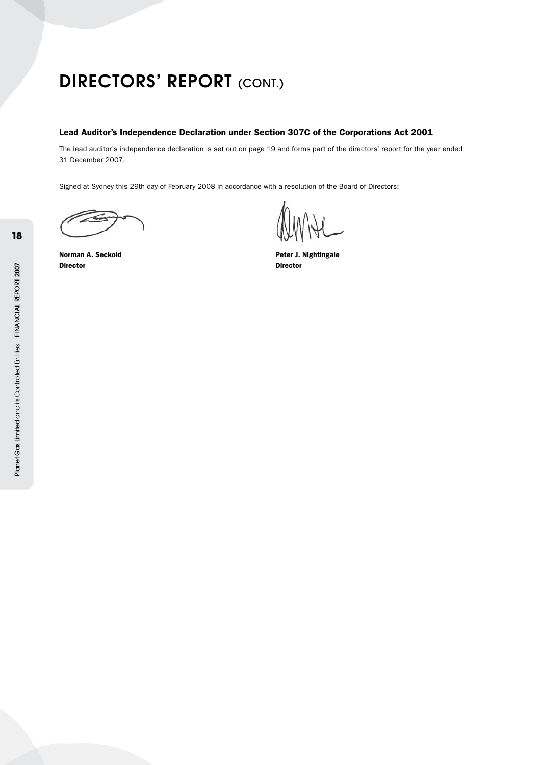# DIRECTORS' REPORT (CONT.)

## Lead Auditor's Independence Declaration under Section 307C of the Corporations Act 2001

The lead auditor's independence declaration is set out on page 19 and forms part of the directors' report for the year ended 31 December 2007.

Signed at Sydney this 29th day of February 2008 in accordance with a resolution of the Board of Directors:

Norman A. Seckold Director

Peter J. Nightingale Director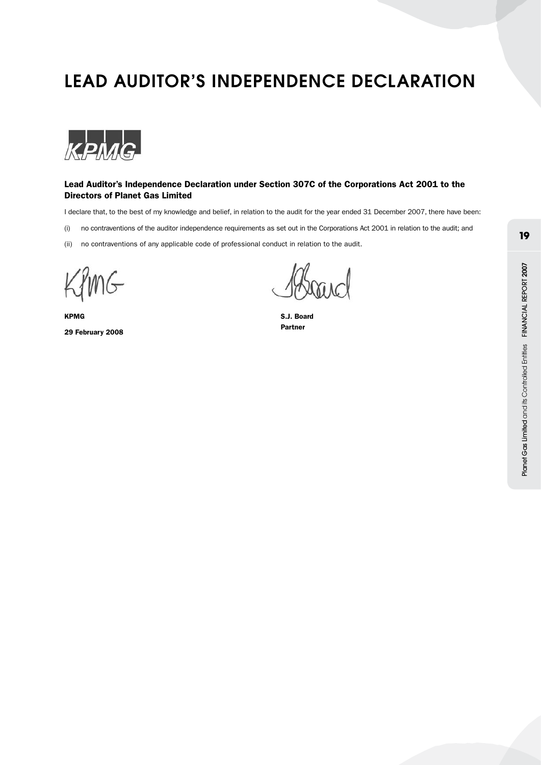# Lead Auditor's Independence Declaration



## Lead Auditor's Independence Declaration under Section 307C of the Corporations Act 2001 to the Directors of Planet Gas Limited

I declare that, to the best of my knowledge and belief, in relation to the audit for the year ended 31 December 2007, there have been:

(i) no contraventions of the auditor independence requirements as set out in the Corporations Act 2001 in relation to the audit; and

(ii) no contraventions of any applicable code of professional conduct in relation to the audit.

MG

KPMG 29 February 2008

 $\overline{M}$ 

S.J. Board Partner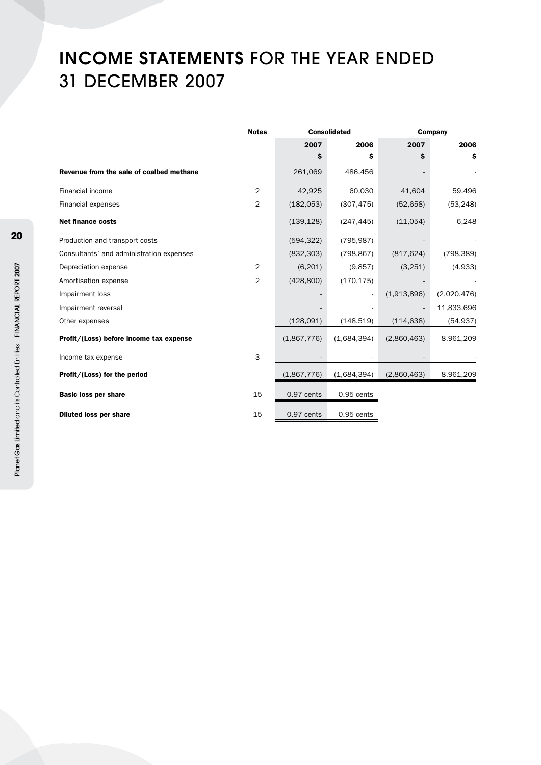# INCOME STATEMENTS FOR THE YEAR ENDED 31 DECEMBER 2007

|                                          | <b>Notes</b>   | <b>Consolidated</b> |                | <b>Company</b> |             |
|------------------------------------------|----------------|---------------------|----------------|----------------|-------------|
|                                          |                | 2007                | 2006           | 2007           | 2006        |
|                                          |                | \$                  | \$             | \$             | \$          |
| Revenue from the sale of coalbed methane |                | 261,069             | 486,456        |                |             |
| Financial income                         | 2              | 42,925              | 60,030         | 41,604         | 59,496      |
| <b>Financial expenses</b>                | 2              | (182,053)           | (307, 475)     | (52, 658)      | (53, 248)   |
| <b>Net finance costs</b>                 |                | (139, 128)          | (247, 445)     | (11,054)       | 6,248       |
| Production and transport costs           |                | (594, 322)          | (795, 987)     |                |             |
| Consultants' and administration expenses |                | (832, 303)          | (798, 867)     | (817, 624)     | (798, 389)  |
| Depreciation expense                     | 2              | (6,201)             | (9,857)        | (3,251)        | (4,933)     |
| Amortisation expense                     | $\overline{2}$ | (428, 800)          | (170, 175)     |                |             |
| Impairment loss                          |                |                     | $\blacksquare$ | (1,913,896)    | (2,020,476) |
| Impairment reversal                      |                |                     |                |                | 11,833,696  |
| Other expenses                           |                | (128,091)           | (148, 519)     | (114, 638)     | (54, 937)   |
| Profit/(Loss) before income tax expense  |                | (1,867,776)         | (1,684,394)    | (2,860,463)    | 8,961,209   |
| Income tax expense                       | 3              |                     |                |                |             |
| Profit/(Loss) for the period             |                | (1,867,776)         | (1,684,394)    | (2,860,463)    | 8,961,209   |
| <b>Basic loss per share</b>              | 15             | 0.97 cents          | 0.95 cents     |                |             |
| <b>Diluted loss per share</b>            | 15             | 0.97 cents          | 0.95 cents     |                |             |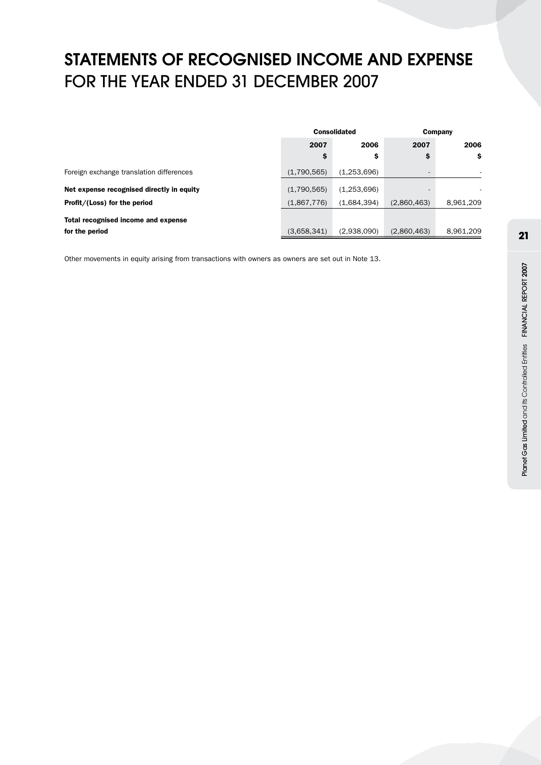# STATEMENTS OF RECOGNISED INCOME AND EXPENSE for the year ended 31 december 2007

|                                           | <b>Consolidated</b> |             | Company     |           |
|-------------------------------------------|---------------------|-------------|-------------|-----------|
|                                           | 2007                | 2006        | 2007        | 2006      |
|                                           | \$                  | \$          | Ş           | \$        |
| Foreign exchange translation differences  | (1,790,565)         | (1,253,696) |             |           |
| Net expense recognised directly in equity | (1,790,565)         | (1,253,696) |             |           |
| Profit/(Loss) for the period              | (1,867,776)         | (1,684,394) | (2,860,463) | 8,961,209 |
| Total recognised income and expense       |                     |             |             |           |
| for the period                            | (3,658,341)         | (2,938,090) | (2,860,463) | 8.961.209 |

Other movements in equity arising from transactions with owners as owners are set out in Note 13.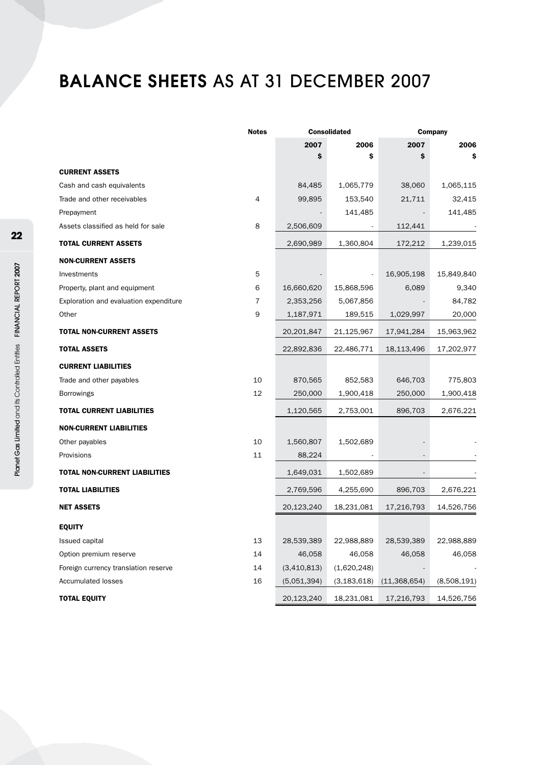# BALANCE SHEETS AS AT 31 DECEMBER 2007

|                                               |                                        | <b>Notes</b> | <b>Consolidated</b> |             | <b>Company</b> |            |
|-----------------------------------------------|----------------------------------------|--------------|---------------------|-------------|----------------|------------|
|                                               |                                        |              | 2007                | 2006        | 2007           | 2006       |
|                                               |                                        |              | \$                  | \$          | \$             |            |
|                                               | <b>CURRENT ASSETS</b>                  |              |                     |             |                |            |
|                                               | Cash and cash equivalents              |              | 84,485              | 1,065,779   | 38,060         | 1,065,115  |
|                                               | Trade and other receivables            | 4            | 99,895              | 153,540     | 21,711         | 32,415     |
|                                               | Prepayment                             |              |                     | 141,485     |                | 141,485    |
|                                               | Assets classified as held for sale     | 8            | 2,506,609           |             | 112,441        |            |
| 22                                            | <b>TOTAL CURRENT ASSETS</b>            |              | 2,690,989           | 1,360,804   | 172,212        | 1,239,015  |
|                                               | <b>NON-CURRENT ASSETS</b>              |              |                     |             |                |            |
|                                               | Investments                            | 5            |                     |             | 16,905,198     | 15,849,840 |
|                                               | Property, plant and equipment          | 6            | 16,660,620          | 15,868,596  | 6,089          | 9,340      |
|                                               | Exploration and evaluation expenditure | 7            | 2,353,256           | 5,067,856   |                | 84,782     |
|                                               | Other                                  | 9            | 1,187,971           | 189,515     | 1,029,997      | 20,000     |
| FINANCIAL REPORT 2007                         | <b>TOTAL NON-CURRENT ASSETS</b>        |              | 20,201,847          | 21,125,967  | 17,941,284     | 15,963,962 |
|                                               | <b>TOTAL ASSETS</b>                    |              | 22,892,836          | 22,486,771  | 18,113,496     | 17,202,977 |
|                                               | <b>CURRENT LIABILITIES</b>             |              |                     |             |                |            |
|                                               | Trade and other payables               | 10           | 870,565             | 852,583     | 646,703        | 775,803    |
|                                               | <b>Borrowings</b>                      | 12           | 250,000             | 1,900,418   | 250,000        | 1,900,418  |
| Planet Gas Limited and ts Controlled Entities | <b>TOTAL CURRENT LIABILITIES</b>       |              | 1,120,565           | 2,753,001   | 896,703        | 2,676,221  |
|                                               | <b>NON-CURRENT LIABILITIES</b>         |              |                     |             |                |            |
|                                               | Other payables                         | 10           | 1,560,807           | 1,502,689   |                |            |
|                                               | Provisions                             | 11           | 88,224              |             |                |            |
|                                               | <b>TOTAL NON-CURRENT LIABILITIES</b>   |              | 1,649,031           | 1,502,689   |                |            |
|                                               | <b>TOTAL LIABILITIES</b>               |              | 2,769,596           | 4,255,690   | 896,703        | 2,676,221  |
|                                               | <b>NET ASSETS</b>                      |              | 20,123,240          | 18,231,081  | 17,216,793     | 14,526,756 |
|                                               | <b>EQUITY</b>                          |              |                     |             |                |            |
|                                               | Issued capital                         | 13           | 28,539,389          | 22,988,889  | 28,539,389     | 22,988,889 |
|                                               | Option premium reserve                 | 14           | 46,058              | 46,058      | 46,058         | 46,058     |
|                                               | Foreign currency translation reserve   | 14           | (3,410,813)         | (1,620,248) |                |            |

Accumulated losses 16 (5,051,394) (3,183,618) (11,368,654) (8,508,191) TOTAL EQUITY 20,123,240 18,231,081 17,216,793 14,526,756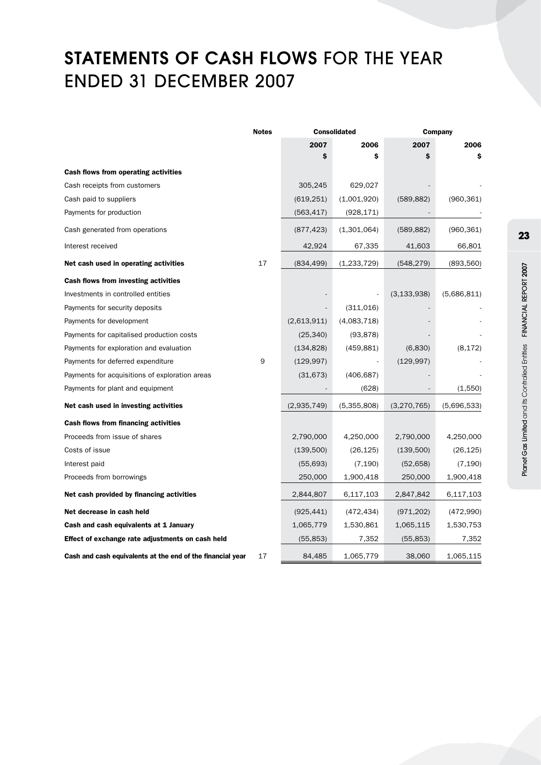# STATEMENTS OF CASH FLOWS FOR THE YEAR ENDED 31 DECEMBER 2007

|                                                            | <b>Notes</b> | <b>Consolidated</b> |             | Company       |             |
|------------------------------------------------------------|--------------|---------------------|-------------|---------------|-------------|
|                                                            |              | 2007                | 2006        | 2007          | 2006        |
|                                                            |              | \$                  | s           | \$            | s           |
| Cash flows from operating activities                       |              |                     |             |               |             |
| Cash receipts from customers                               |              | 305,245             | 629,027     |               |             |
| Cash paid to suppliers                                     |              | (619, 251)          | (1,001,920) | (589, 882)    | (960, 361)  |
| Payments for production                                    |              | (563, 417)          | (928, 171)  |               |             |
| Cash generated from operations                             |              | (877, 423)          | (1,301,064) | (589, 882)    | (960, 361)  |
| Interest received                                          |              | 42,924              | 67,335      | 41,603        | 66,801      |
| Net cash used in operating activities                      | 17           | (834, 499)          | (1,233,729) | (548, 279)    | (893, 560)  |
| Cash flows from investing activities                       |              |                     |             |               |             |
| Investments in controlled entities                         |              |                     |             | (3, 133, 938) | (5,686,811) |
| Payments for security deposits                             |              |                     | (311, 016)  |               |             |
| Payments for development                                   |              | (2,613,911)         | (4,083,718) |               |             |
| Payments for capitalised production costs                  |              | (25, 340)           | (93, 878)   |               |             |
| Payments for exploration and evaluation                    |              | (134, 828)          | (459, 881)  | (6,830)       | (8, 172)    |
| Payments for deferred expenditure                          | 9            | (129, 997)          |             | (129, 997)    |             |
| Payments for acquisitions of exploration areas             |              | (31, 673)           | (406, 687)  |               |             |
| Payments for plant and equipment                           |              |                     | (628)       |               | (1,550)     |
| Net cash used in investing activities                      |              | (2,935,749)         | (5,355,808) | (3,270,765)   | (5,696,533) |
| Cash flows from financing activities                       |              |                     |             |               |             |
| Proceeds from issue of shares                              |              | 2,790,000           | 4,250,000   | 2,790,000     | 4,250,000   |
| Costs of issue                                             |              | (139,500)           | (26, 125)   | (139,500)     | (26, 125)   |
| Interest paid                                              |              | (55, 693)           | (7, 190)    | (52, 658)     | (7, 190)    |
| Proceeds from borrowings                                   |              | 250,000             | 1,900,418   | 250,000       | 1,900,418   |
| Net cash provided by financing activities                  |              | 2,844,807           | 6,117,103   | 2,847,842     | 6,117,103   |
| Net decrease in cash held                                  |              | (925, 441)          | (472,434)   | (971, 202)    | (472,990)   |
| Cash and cash equivalents at 1 January                     |              | 1,065,779           | 1,530,861   | 1,065,115     | 1,530,753   |
| Effect of exchange rate adjustments on cash held           |              | (55, 853)           | 7,352       | (55, 853)     | 7,352       |
| Cash and cash equivalents at the end of the financial year | 17           | 84,485              | 1,065,779   | 38,060        | 1,065,115   |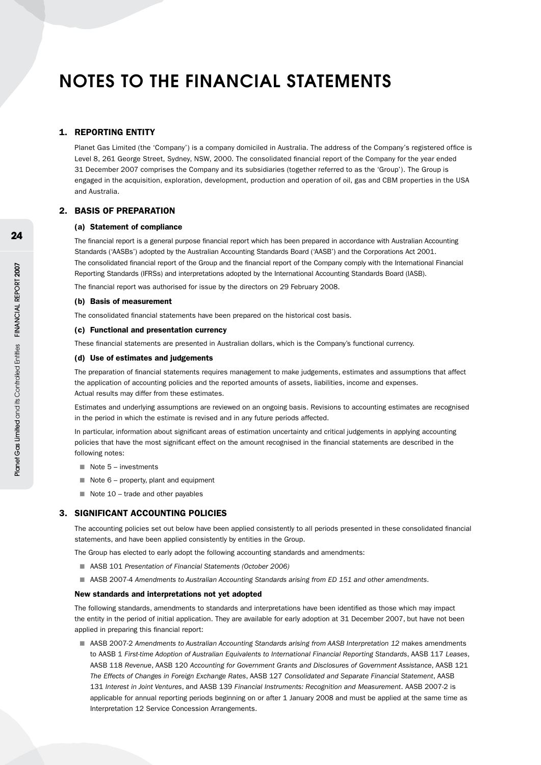# NOTES TO THE FINANCIAL STATEMENTS

### 1. Reporting entity

 Planet Gas Limited (the 'Company') is a company domiciled in Australia. The address of the Company's registered office is Level 8, 261 George Street, Sydney, NSW, 2000. The consolidated financial report of the Company for the year ended 31 December 2007 comprises the Company and its subsidiaries (together referred to as the 'Group'). The Group is engaged in the acquisition, exploration, development, production and operation of oil, gas and CBM properties in the USA and Australia.

## 2. Basis of preparation

### (a) Statement of compliance

 The financial report is a general purpose financial report which has been prepared in accordance with Australian Accounting Standards ('AASBs') adopted by the Australian Accounting Standards Board ('AASB') and the Corporations Act 2001. The consolidated financial report of the Group and the financial report of the Company comply with the International Financial Reporting Standards (IFRSs) and interpretations adopted by the International Accounting Standards Board (IASB).

The financial report was authorised for issue by the directors on 29 February 2008.

### (b) Basis of measurement

The consolidated financial statements have been prepared on the historical cost basis.

#### (c) Functional and presentation currency

These financial statements are presented in Australian dollars, which is the Company's functional currency.

#### (d) Use of estimates and judgements

 The preparation of financial statements requires management to make judgements, estimates and assumptions that affect the application of accounting policies and the reported amounts of assets, liabilities, income and expenses. Actual results may differ from these estimates.

 Estimates and underlying assumptions are reviewed on an ongoing basis. Revisions to accounting estimates are recognised in the period in which the estimate is revised and in any future periods affected.

 In particular, information about significant areas of estimation uncertainty and critical judgements in applying accounting policies that have the most significant effect on the amount recognised in the financial statements are described in the following notes:

- $\blacksquare$  Note 5 investments
- Note 6 property, plant and equipment
- Note 10 trade and other payables

### 3. Significant accounting policies

 The accounting policies set out below have been applied consistently to all periods presented in these consolidated financial statements, and have been applied consistently by entities in the Group.

The Group has elected to early adopt the following accounting standards and amendments:

- AASB 101 *Presentation of Financial Statements (October 2006)*
- AASB 2007-4 Amendments to Australian Accounting Standards arising from ED 151 and other amendments.

### New standards and interpretations not yet adopted

 The following standards, amendments to standards and interpretations have been identified as those which may impact the entity in the period of initial application. They are available for early adoption at 31 December 2007, but have not been applied in preparing this financial report:

■ AASB 2007-2 Amendments to Australian Accounting Standards arising from AASB Interpretation 12 makes amendments to AASB 1 *First-time Adoption of Australian Equivalents to International Financial Reporting Standards*, AASB 117 *Leases*, AASB 118 *Revenue*, AASB 120 *Accounting for Government Grants and Disclosures of Government Assistance*, AASB 121 *The Effects of Changes in Foreign Exchange Rates*, AASB 127 *Consolidated and Separate Financial Statement*, AASB 131 *Interest in Joint Ventures*, and AASB 139 *Financial Instruments: Recognition and Measurement*. AASB 2007-2 is applicable for annual reporting periods beginning on or after 1 January 2008 and must be applied at the same time as Interpretation 12 Service Concession Arrangements.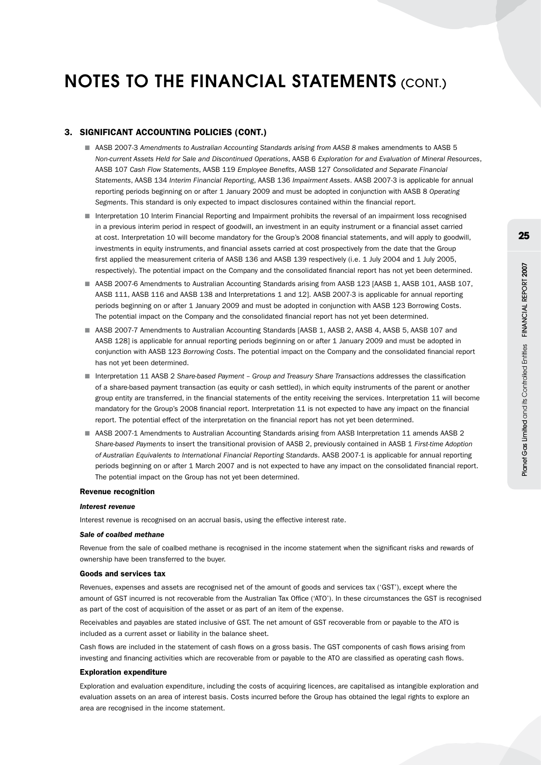### 3. Significant accounting policies (CONT.)

- AASB 2007-3 Amendments to Australian Accounting Standards arising from AASB 8 makes amendments to AASB 5 *Non-current Assets Held for Sale and Discontinued Operations*, AASB 6 *Exploration for and Evaluation of Mineral Resources*, AASB 107 *Cash Flow Statements*, AASB 119 *Employee Benefits*, AASB 127 *Consolidated and Separate Financial Statements*, AASB 134 *Interim Financial Reporting*, AASB 136 *Impairment Assets*. AASB 2007-3 is applicable for annual reporting periods beginning on or after 1 January 2009 and must be adopted in conjunction with AASB 8 *Operating Segments*. This standard is only expected to impact disclosures contained within the financial report.
- Interpretation 10 Interim Financial Reporting and Impairment prohibits the reversal of an impairment loss recognised in a previous interim period in respect of goodwill, an investment in an equity instrument or a financial asset carried at cost. Interpretation 10 will become mandatory for the Group's 2008 financial statements, and will apply to goodwill, investments in equity instruments, and financial assets carried at cost prospectively from the date that the Group first applied the measurement criteria of AASB 136 and AASB 139 respectively (i.e. 1 July 2004 and 1 July 2005, respectively). The potential impact on the Company and the consolidated financial report has not yet been determined.
- AASB 2007-6 Amendments to Australian Accounting Standards arising from AASB 123 [AASB 1, AASB 101, AASB 107, AASB 111, AASB 116 and AASB 138 and Interpretations 1 and 12]. AASB 2007-3 is applicable for annual reporting periods beginning on or after 1 January 2009 and must be adopted in conjunction with AASB 123 Borrowing Costs. The potential impact on the Company and the consolidated financial report has not yet been determined.
- AASB 2007-7 Amendments to Australian Accounting Standards [AASB 1, AASB 2, AASB 4, AASB 5, AASB 107 and AASB 128] is applicable for annual reporting periods beginning on or after 1 January 2009 and must be adopted in conjunction with AASB 123 *Borrowing Costs*. The potential impact on the Company and the consolidated financial report has not yet been determined.
- Interpretation 11 AASB 2 Share-based Payment Group and Treasury Share Transactions addresses the classification of a share-based payment transaction (as equity or cash settled), in which equity instruments of the parent or another group entity are transferred, in the financial statements of the entity receiving the services. Interpretation 11 will become mandatory for the Group's 2008 financial report. Interpretation 11 is not expected to have any impact on the financial report. The potential effect of the interpretation on the financial report has not yet been determined.
- AASB 2007-1 Amendments to Australian Accounting Standards arising from AASB Interpretation 11 amends AASB 2 *Share-based Payments* to insert the transitional provision of AASB 2, previously contained in AASB 1 *First-time Adoption of Australian Equivalents to International Financial Reporting Standards*. AASB 2007-1 is applicable for annual reporting periods beginning on or after 1 March 2007 and is not expected to have any impact on the consolidated financial report. The potential impact on the Group has not yet been determined.

### Revenue recognition

#### *Interest revenue*

Interest revenue is recognised on an accrual basis, using the effective interest rate.

#### *Sale of coalbed methane*

 Revenue from the sale of coalbed methane is recognised in the income statement when the significant risks and rewards of ownership have been transferred to the buyer.

### Goods and services tax

 Revenues, expenses and assets are recognised net of the amount of goods and services tax ('GST'), except where the amount of GST incurred is not recoverable from the Australian Tax Office ('ATO'). In these circumstances the GST is recognised as part of the cost of acquisition of the asset or as part of an item of the expense.

 Receivables and payables are stated inclusive of GST. The net amount of GST recoverable from or payable to the ATO is included as a current asset or liability in the balance sheet.

 Cash flows are included in the statement of cash flows on a gross basis. The GST components of cash flows arising from investing and financing activities which are recoverable from or payable to the ATO are classified as operating cash flows.

#### Exploration expenditure

 Exploration and evaluation expenditure, including the costs of acquiring licences, are capitalised as intangible exploration and evaluation assets on an area of interest basis. Costs incurred before the Group has obtained the legal rights to explore an area are recognised in the income statement.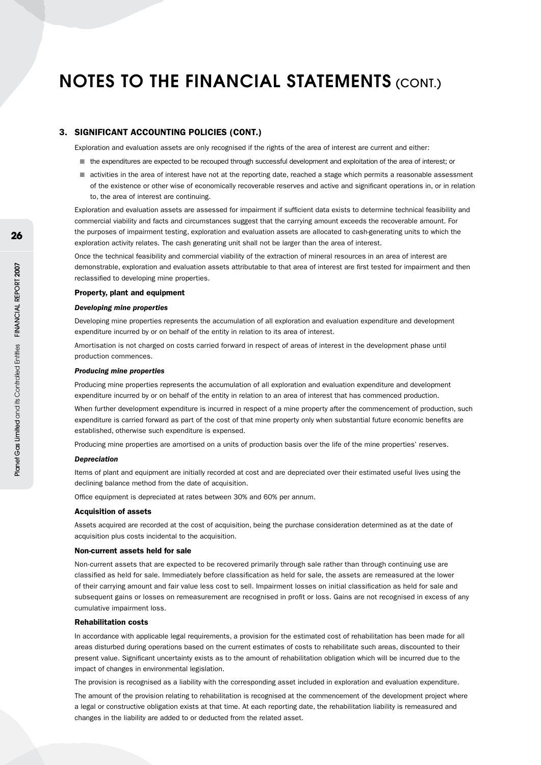### 3. Significant accounting policies (CONT.)

Exploration and evaluation assets are only recognised if the rights of the area of interest are current and either:

- the expenditures are expected to be recouped through successful development and exploitation of the area of interest; or
- activities in the area of interest have not at the reporting date, reached a stage which permits a reasonable assessment of the existence or other wise of economically recoverable reserves and active and significant operations in, or in relation to, the area of interest are continuing.

 Exploration and evaluation assets are assessed for impairment if sufficient data exists to determine technical feasibility and commercial viability and facts and circumstances suggest that the carrying amount exceeds the recoverable amount. For the purposes of impairment testing, exploration and evaluation assets are allocated to cash-generating units to which the exploration activity relates. The cash generating unit shall not be larger than the area of interest.

 Once the technical feasibility and commercial viability of the extraction of mineral resources in an area of interest are demonstrable, exploration and evaluation assets attributable to that area of interest are first tested for impairment and then reclassified to developing mine properties.

#### Property, plant and equipment

#### *Developing mine properties*

 Developing mine properties represents the accumulation of all exploration and evaluation expenditure and development expenditure incurred by or on behalf of the entity in relation to its area of interest.

 Amortisation is not charged on costs carried forward in respect of areas of interest in the development phase until production commences.

#### *Producing mine properties*

 Producing mine properties represents the accumulation of all exploration and evaluation expenditure and development expenditure incurred by or on behalf of the entity in relation to an area of interest that has commenced production.

 When further development expenditure is incurred in respect of a mine property after the commencement of production, such expenditure is carried forward as part of the cost of that mine property only when substantial future economic benefits are established, otherwise such expenditure is expensed.

Producing mine properties are amortised on a units of production basis over the life of the mine properties' reserves.

#### *Depreciation*

 Items of plant and equipment are initially recorded at cost and are depreciated over their estimated useful lives using the declining balance method from the date of acquisition.

Office equipment is depreciated at rates between 30% and 60% per annum.

#### Acquisition of assets

 Assets acquired are recorded at the cost of acquisition, being the purchase consideration determined as at the date of acquisition plus costs incidental to the acquisition.

#### Non-current assets held for sale

 Non-current assets that are expected to be recovered primarily through sale rather than through continuing use are classified as held for sale. Immediately before classification as held for sale, the assets are remeasured at the lower of their carrying amount and fair value less cost to sell. Impairment losses on initial classification as held for sale and subsequent gains or losses on remeasurement are recognised in profit or loss. Gains are not recognised in excess of any cumulative impairment loss.

### Rehabilitation costs

 In accordance with applicable legal requirements, a provision for the estimated cost of rehabilitation has been made for all areas disturbed during operations based on the current estimates of costs to rehabilitate such areas, discounted to their present value. Significant uncertainty exists as to the amount of rehabilitation obligation which will be incurred due to the impact of changes in environmental legislation.

The provision is recognised as a liability with the corresponding asset included in exploration and evaluation expenditure.

 The amount of the provision relating to rehabilitation is recognised at the commencement of the development project where a legal or constructive obligation exists at that time. At each reporting date, the rehabilitation liability is remeasured and changes in the liability are added to or deducted from the related asset.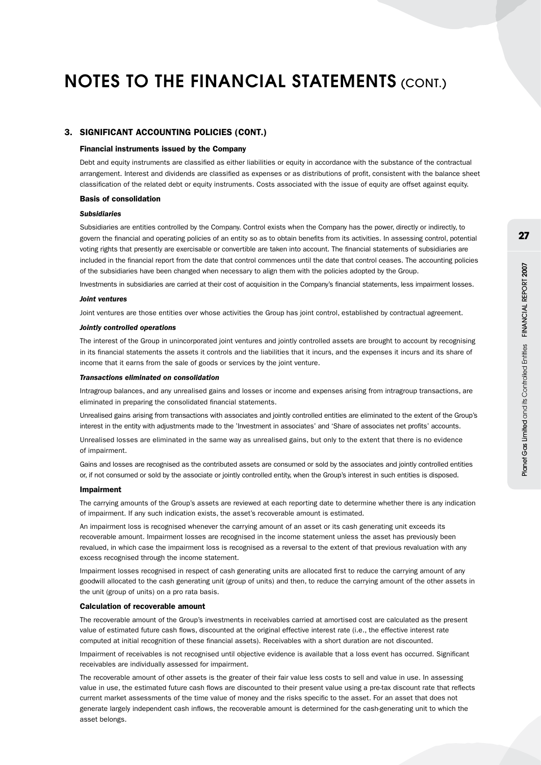### 3. Significant accounting policies (CONT.)

#### Financial instruments issued by the Company

 Debt and equity instruments are classified as either liabilities or equity in accordance with the substance of the contractual arrangement. Interest and dividends are classified as expenses or as distributions of profit, consistent with the balance sheet classification of the related debt or equity instruments. Costs associated with the issue of equity are offset against equity.

### Basis of consolidation

### *Subsidiaries*

 Subsidiaries are entities controlled by the Company. Control exists when the Company has the power, directly or indirectly, to govern the financial and operating policies of an entity so as to obtain benefits from its activities. In assessing control, potential voting rights that presently are exercisable or convertible are taken into account. The financial statements of subsidiaries are included in the financial report from the date that control commences until the date that control ceases. The accounting policies of the subsidiaries have been changed when necessary to align them with the policies adopted by the Group.

Investments in subsidiaries are carried at their cost of acquisition in the Company's financial statements, less impairment losses.

#### *Joint ventures*

Joint ventures are those entities over whose activities the Group has joint control, established by contractual agreement.

#### *Jointly controlled operations*

 The interest of the Group in unincorporated joint ventures and jointly controlled assets are brought to account by recognising in its financial statements the assets it controls and the liabilities that it incurs, and the expenses it incurs and its share of income that it earns from the sale of goods or services by the joint venture.

#### *Transactions eliminated on consolidation*

 Intragroup balances, and any unrealised gains and losses or income and expenses arising from intragroup transactions, are eliminated in preparing the consolidated financial statements.

 Unrealised gains arising from transactions with associates and jointly controlled entities are eliminated to the extent of the Group's interest in the entity with adjustments made to the 'Investment in associates' and 'Share of associates net profits' accounts.

 Unrealised losses are eliminated in the same way as unrealised gains, but only to the extent that there is no evidence of impairment.

 Gains and losses are recognised as the contributed assets are consumed or sold by the associates and jointly controlled entities or, if not consumed or sold by the associate or jointly controlled entity, when the Group's interest in such entities is disposed.

#### Impairment

 The carrying amounts of the Group's assets are reviewed at each reporting date to determine whether there is any indication of impairment. If any such indication exists, the asset's recoverable amount is estimated.

 An impairment loss is recognised whenever the carrying amount of an asset or its cash generating unit exceeds its recoverable amount. Impairment losses are recognised in the income statement unless the asset has previously been revalued, in which case the impairment loss is recognised as a reversal to the extent of that previous revaluation with any excess recognised through the income statement.

 Impairment losses recognised in respect of cash generating units are allocated first to reduce the carrying amount of any goodwill allocated to the cash generating unit (group of units) and then, to reduce the carrying amount of the other assets in the unit (group of units) on a pro rata basis.

#### Calculation of recoverable amount

 The recoverable amount of the Group's investments in receivables carried at amortised cost are calculated as the present value of estimated future cash flows, discounted at the original effective interest rate (i.e., the effective interest rate computed at initial recognition of these financial assets). Receivables with a short duration are not discounted.

 Impairment of receivables is not recognised until objective evidence is available that a loss event has occurred. Significant receivables are individually assessed for impairment.

 The recoverable amount of other assets is the greater of their fair value less costs to sell and value in use. In assessing value in use, the estimated future cash flows are discounted to their present value using a pre-tax discount rate that reflects current market assessments of the time value of money and the risks specific to the asset. For an asset that does not generate largely independent cash inflows, the recoverable amount is determined for the cash-generating unit to which the asset belongs.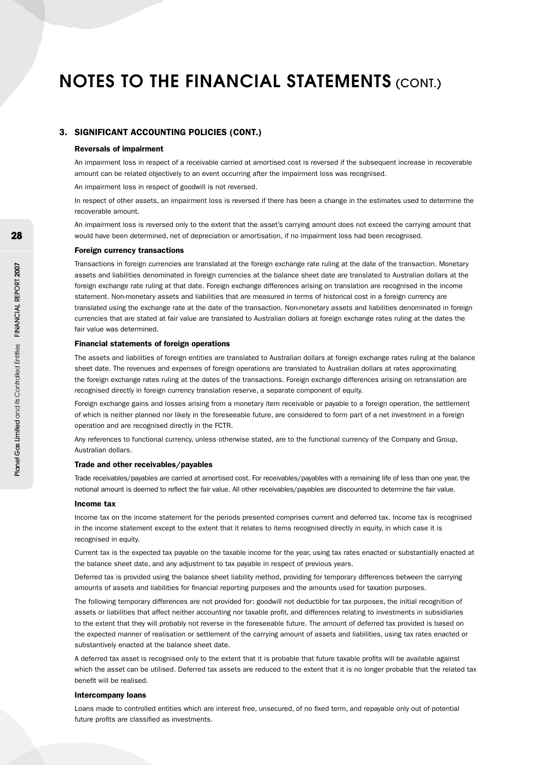### 3. Significant accounting policies (CONT.)

#### Reversals of impairment

 An impairment loss in respect of a receivable carried at amortised cost is reversed if the subsequent increase in recoverable amount can be related objectively to an event occurring after the impairment loss was recognised.

An impairment loss in respect of goodwill is not reversed.

 In respect of other assets, an impairment loss is reversed if there has been a change in the estimates used to determine the recoverable amount.

 An impairment loss is reversed only to the extent that the asset's carrying amount does not exceed the carrying amount that would have been determined, net of depreciation or amortisation, if no impairment loss had been recognised.

#### Foreign currency transactions

 Transactions in foreign currencies are translated at the foreign exchange rate ruling at the date of the transaction. Monetary assets and liabilities denominated in foreign currencies at the balance sheet date are translated to Australian dollars at the foreign exchange rate ruling at that date. Foreign exchange differences arising on translation are recognised in the income statement. Non-monetary assets and liabilities that are measured in terms of historical cost in a foreign currency are translated using the exchange rate at the date of the transaction. Non-monetary assets and liabilities denominated in foreign currencies that are stated at fair value are translated to Australian dollars at foreign exchange rates ruling at the dates the fair value was determined.

### Financial statements of foreign operations

 The assets and liabilities of foreign entities are translated to Australian dollars at foreign exchange rates ruling at the balance sheet date. The revenues and expenses of foreign operations are translated to Australian dollars at rates approximating the foreign exchange rates ruling at the dates of the transactions. Foreign exchange differences arising on retranslation are recognised directly in foreign currency translation reserve, a separate component of equity.

 Foreign exchange gains and losses arising from a monetary item receivable or payable to a foreign operation, the settlement of which is neither planned nor likely in the foreseeable future, are considered to form part of a net investment in a foreign operation and are recognised directly in the FCTR.

 Any references to functional currency, unless otherwise stated, are to the functional currency of the Company and Group, Australian dollars.

### Trade and other receivables/payables

 Trade receivables/payables are carried at amortised cost. For receivables/payables with a remaining life of less than one year, the notional amount is deemed to reflect the fair value. All other receivables/payables are discounted to determine the fair value.

#### Income tax

 Income tax on the income statement for the periods presented comprises current and deferred tax. Income tax is recognised in the income statement except to the extent that it relates to items recognised directly in equity, in which case it is recognised in equity.

 Current tax is the expected tax payable on the taxable income for the year, using tax rates enacted or substantially enacted at the balance sheet date, and any adjustment to tax payable in respect of previous years.

 Deferred tax is provided using the balance sheet liability method, providing for temporary differences between the carrying amounts of assets and liabilities for financial reporting purposes and the amounts used for taxation purposes.

 The following temporary differences are not provided for: goodwill not deductible for tax purposes, the initial recognition of assets or liabilities that affect neither accounting nor taxable profit, and differences relating to investments in subsidiaries to the extent that they will probably not reverse in the foreseeable future. The amount of deferred tax provided is based on the expected manner of realisation or settlement of the carrying amount of assets and liabilities, using tax rates enacted or substantively enacted at the balance sheet date.

 A deferred tax asset is recognised only to the extent that it is probable that future taxable profits will be available against which the asset can be utilised. Deferred tax assets are reduced to the extent that it is no longer probable that the related tax benefit will be realised.

#### Intercompany loans

 Loans made to controlled entities which are interest free, unsecured, of no fixed term, and repayable only out of potential future profits are classified as investments.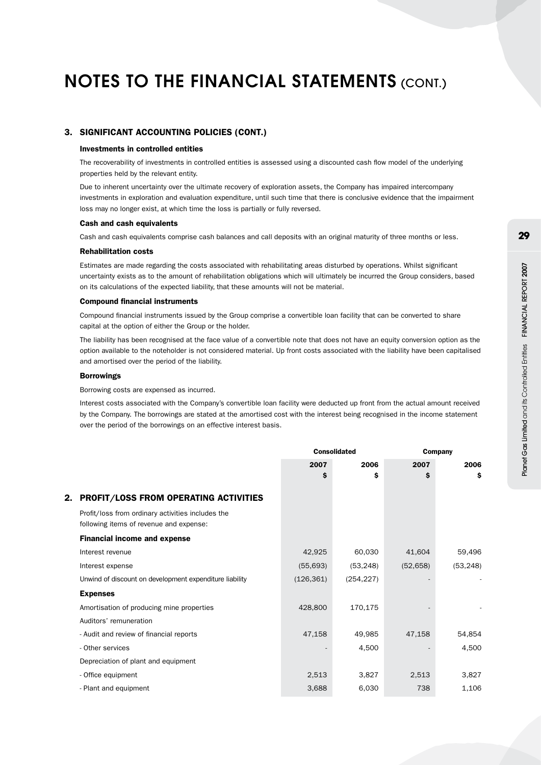## 3. Significant accounting policies (CONT.)

### Investments in controlled entities

 The recoverability of investments in controlled entities is assessed using a discounted cash flow model of the underlying properties held by the relevant entity.

 Due to inherent uncertainty over the ultimate recovery of exploration assets, the Company has impaired intercompany investments in exploration and evaluation expenditure, until such time that there is conclusive evidence that the impairment loss may no longer exist, at which time the loss is partially or fully reversed.

#### Cash and cash equivalents

Cash and cash equivalents comprise cash balances and call deposits with an original maturity of three months or less.

#### Rehabilitation costs

 Estimates are made regarding the costs associated with rehabilitating areas disturbed by operations. Whilst significant uncertainty exists as to the amount of rehabilitation obligations which will ultimately be incurred the Group considers, based on its calculations of the expected liability, that these amounts will not be material.

### Compound financial instruments

 Compound financial instruments issued by the Group comprise a convertible loan facility that can be converted to share capital at the option of either the Group or the holder.

 The liability has been recognised at the face value of a convertible note that does not have an equity conversion option as the option available to the noteholder is not considered material. Up front costs associated with the liability have been capitalised and amortised over the period of the liability.

#### Borrowings

Borrowing costs are expensed as incurred.

 Interest costs associated with the Company's convertible loan facility were deducted up front from the actual amount received by the Company. The borrowings are stated at the amortised cost with the interest being recognised in the income statement over the period of the borrowings on an effective interest basis.

|                                                                                              | <b>Consolidated</b> |            | Company   |           |
|----------------------------------------------------------------------------------------------|---------------------|------------|-----------|-----------|
|                                                                                              | 2007                | 2006       | 2007      | 2006      |
|                                                                                              | \$                  | \$         | \$        | \$.       |
| PROFIT/LOSS FROM OPERATING ACTIVITIES<br>2.                                                  |                     |            |           |           |
| Profit/loss from ordinary activities includes the<br>following items of revenue and expense: |                     |            |           |           |
| <b>Financial income and expense</b>                                                          |                     |            |           |           |
| Interest revenue                                                                             | 42,925              | 60,030     | 41,604    | 59,496    |
| Interest expense                                                                             | (55,693)            | (53, 248)  | (52, 658) | (53, 248) |
| Unwind of discount on development expenditure liability                                      | (126, 361)          | (254, 227) |           |           |
| <b>Expenses</b>                                                                              |                     |            |           |           |
| Amortisation of producing mine properties                                                    | 428,800             | 170,175    |           |           |
| Auditors' remuneration                                                                       |                     |            |           |           |
| - Audit and review of financial reports                                                      | 47,158              | 49,985     | 47,158    | 54,854    |
| - Other services                                                                             |                     | 4,500      |           | 4,500     |
| Depreciation of plant and equipment                                                          |                     |            |           |           |
| - Office equipment                                                                           | 2,513               | 3,827      | 2,513     | 3,827     |
| - Plant and equipment                                                                        | 3,688               | 6,030      | 738       | 1,106     |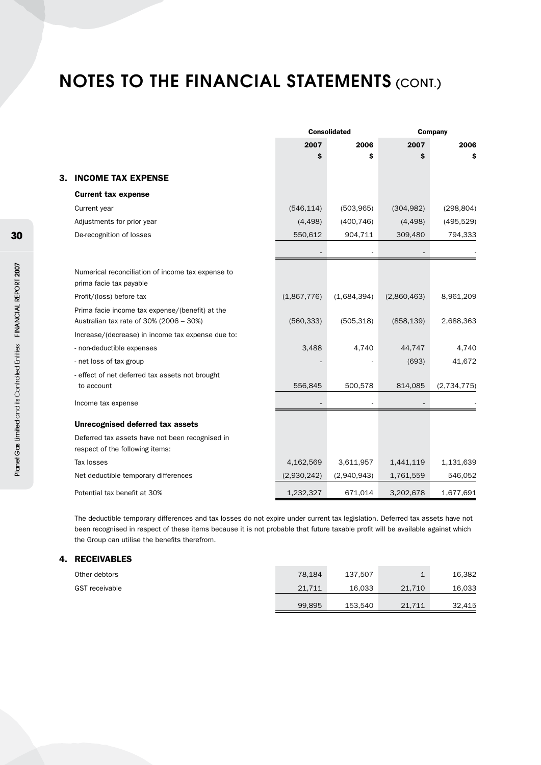|    |                                                                                            | <b>Consolidated</b> |             | Company     |             |  |
|----|--------------------------------------------------------------------------------------------|---------------------|-------------|-------------|-------------|--|
|    |                                                                                            | 2007                | 2006        | 2007        | 2006        |  |
|    |                                                                                            | \$                  | \$          | \$          | \$          |  |
| 3. | <b>INCOME TAX EXPENSE</b>                                                                  |                     |             |             |             |  |
|    | <b>Current tax expense</b>                                                                 |                     |             |             |             |  |
|    | Current year                                                                               | (546, 114)          | (503, 965)  | (304, 982)  | (298, 804)  |  |
|    | Adjustments for prior year                                                                 | (4, 498)            | (400, 746)  | (4, 498)    | (495, 529)  |  |
|    | De-recognition of losses                                                                   | 550,612             | 904,711     | 309,480     | 794,333     |  |
|    |                                                                                            |                     |             |             |             |  |
|    | Numerical reconciliation of income tax expense to<br>prima facie tax payable               |                     |             |             |             |  |
|    | Profit/(loss) before tax                                                                   | (1,867,776)         | (1,684,394) | (2,860,463) | 8,961,209   |  |
|    | Prima facie income tax expense/(benefit) at the<br>Australian tax rate of 30% (2006 - 30%) | (560, 333)          | (505, 318)  | (858, 139)  | 2,688,363   |  |
|    | Increase/(decrease) in income tax expense due to:                                          |                     |             |             |             |  |
|    | - non-deductible expenses                                                                  | 3,488               | 4,740       | 44,747      | 4,740       |  |
|    | - net loss of tax group                                                                    |                     |             | (693)       | 41,672      |  |
|    | - effect of net deferred tax assets not brought                                            |                     |             |             |             |  |
|    | to account                                                                                 | 556,845             | 500,578     | 814,085     | (2,734,775) |  |
|    | Income tax expense                                                                         |                     |             |             |             |  |
|    | <b>Unrecognised deferred tax assets</b>                                                    |                     |             |             |             |  |
|    | Deferred tax assets have not been recognised in<br>respect of the following items:         |                     |             |             |             |  |
|    | Tax losses                                                                                 | 4,162,569           | 3,611,957   | 1,441,119   | 1,131,639   |  |
|    | Net deductible temporary differences                                                       | (2,930,242)         | (2,940,943) | 1,761,559   | 546,052     |  |
|    | Potential tax benefit at 30%                                                               | 1,232,327           | 671,014     | 3,202,678   | 1,677,691   |  |

 The deductible temporary differences and tax losses do not expire under current tax legislation. Deferred tax assets have not been recognised in respect of these items because it is not probable that future taxable profit will be available against which the Group can utilise the benefits therefrom.

## 4. RECEIVABLES

| Other debtors         | 78.184 | 137.507 |        | 16,382 |
|-----------------------|--------|---------|--------|--------|
| <b>GST</b> receivable | 21.711 | 16.033  | 21,710 | 16,033 |
|                       | 99,895 | 153.540 | 21.711 | 32.415 |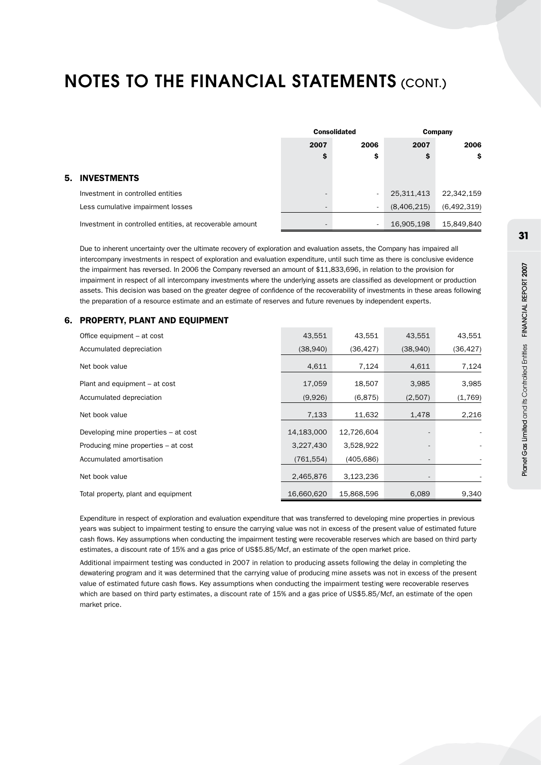|    |                                                          | <b>Consolidated</b>      |      |             |             | Company |  |
|----|----------------------------------------------------------|--------------------------|------|-------------|-------------|---------|--|
|    |                                                          | 2007                     | 2006 | 2007        | 2006        |         |  |
|    |                                                          | \$                       | \$   | Ş           | \$          |         |  |
| 5. | <b>INVESTMENTS</b>                                       |                          |      |             |             |         |  |
|    | Investment in controlled entities                        | $\overline{\phantom{a}}$ |      | 25,311,413  | 22,342,159  |         |  |
|    | Less cumulative impairment losses                        | $\overline{\phantom{0}}$ |      | (8,406,215) | (6,492,319) |         |  |
|    | Investment in controlled entities, at recoverable amount |                          |      | 16.905.198  | 15,849,840  |         |  |

 Due to inherent uncertainty over the ultimate recovery of exploration and evaluation assets, the Company has impaired all intercompany investments in respect of exploration and evaluation expenditure, until such time as there is conclusive evidence the impairment has reversed. In 2006 the Company reversed an amount of \$11,833,696, in relation to the provision for impairment in respect of all intercompany investments where the underlying assets are classified as development or production assets. This decision was based on the greater degree of confidence of the recoverability of investments in these areas following the preparation of a resource estimate and an estimate of reserves and future revenues by independent experts.

## 6. PROPERTY, PLANT AND EQUIPMENT

| Office equipment – at cost           | 43,551     | 43.551     | 43.551   | 43,551    |
|--------------------------------------|------------|------------|----------|-----------|
| Accumulated depreciation             | (38,940)   | (36, 427)  | (38,940) | (36, 427) |
| Net book value                       | 4,611      | 7,124      | 4,611    | 7,124     |
| Plant and equipment – at cost        | 17,059     | 18,507     | 3,985    | 3,985     |
| Accumulated depreciation             | (9,926)    | (6,875)    | (2,507)  | (1,769)   |
| Net book value                       | 7,133      | 11,632     | 1,478    | 2,216     |
| Developing mine properties – at cost | 14,183,000 | 12,726,604 |          |           |
| Producing mine properties – at cost  | 3,227,430  | 3,528,922  |          |           |
| Accumulated amortisation             | (761, 554) | (405, 686) |          |           |
| Net book value                       | 2,465,876  | 3,123,236  |          |           |
| Total property, plant and equipment  | 16,660,620 | 15,868,596 | 6,089    | 9,340     |

 Expenditure in respect of exploration and evaluation expenditure that was transferred to developing mine properties in previous years was subject to impairment testing to ensure the carrying value was not in excess of the present value of estimated future cash flows. Key assumptions when conducting the impairment testing were recoverable reserves which are based on third party estimates, a discount rate of 15% and a gas price of US\$5.85/Mcf, an estimate of the open market price.

 Additional impairment testing was conducted in 2007 in relation to producing assets following the delay in completing the dewatering program and it was determined that the carrying value of producing mine assets was not in excess of the present value of estimated future cash flows. Key assumptions when conducting the impairment testing were recoverable reserves which are based on third party estimates, a discount rate of 15% and a gas price of US\$5.85/Mcf, an estimate of the open market price.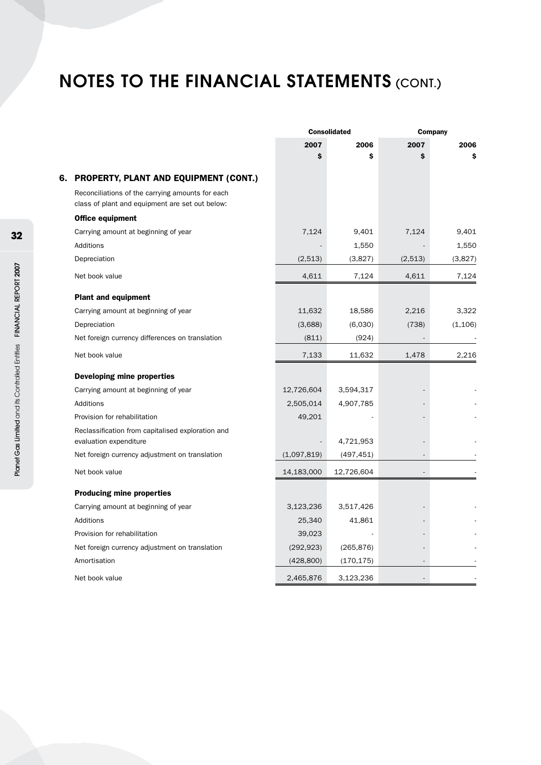|                                                                                                     | <b>Consolidated</b> |            | <b>Company</b> |         |
|-----------------------------------------------------------------------------------------------------|---------------------|------------|----------------|---------|
|                                                                                                     | 2007                | 2006       | 2007           | 2006    |
|                                                                                                     | \$                  | Ś          | Ś              | \$      |
| 6. PROPERTY, PLANT AND EQUIPMENT (CONT.)                                                            |                     |            |                |         |
| Reconciliations of the carrying amounts for each<br>class of plant and equipment are set out below: |                     |            |                |         |
| <b>Office equipment</b>                                                                             |                     |            |                |         |
| Carrying amount at beginning of year                                                                | 7,124               | 9,401      | 7,124          | 9,401   |
| Additions                                                                                           |                     | 1,550      |                | 1,550   |
| Depreciation                                                                                        | (2,513)             | (3,827)    | (2,513)        | (3,827) |
| Net book value                                                                                      | 4,611               | 7,124      | 4,611          | 7,124   |
| <b>Plant and equipment</b>                                                                          |                     |            |                |         |
| Carrying amount at beginning of year                                                                | 11,632              | 18,586     | 2,216          | 3,322   |
| Depreciation                                                                                        | (3,688)             | (6,030)    | (738)          | (1,106) |
| Net foreign currency differences on translation                                                     | (811)               | (924)      |                |         |
| Net book value                                                                                      | 7,133               | 11,632     | 1,478          | 2,216   |
| <b>Developing mine properties</b>                                                                   |                     |            |                |         |
| Carrying amount at beginning of year                                                                | 12,726,604          | 3,594,317  |                |         |
| Additions                                                                                           | 2,505,014           | 4,907,785  |                |         |
| Provision for rehabilitation                                                                        | 49,201              |            |                |         |
| Reclassification from capitalised exploration and<br>evaluation expenditure                         |                     | 4,721,953  |                |         |
| Net foreign currency adjustment on translation                                                      | (1,097,819)         | (497, 451) |                |         |
| Net book value                                                                                      | 14,183,000          | 12,726,604 |                |         |
| <b>Producing mine properties</b>                                                                    |                     |            |                |         |
| Carrying amount at beginning of year                                                                | 3,123,236           | 3,517,426  |                |         |
| Additions                                                                                           | 25,340              | 41,861     |                |         |
| Provision for rehabilitation                                                                        | 39,023              |            |                |         |
| Net foreign currency adjustment on translation                                                      | (292, 923)          | (265, 876) |                |         |
| Amortisation                                                                                        | (428, 800)          | (170, 175) |                |         |
| Net book value                                                                                      | 2,465,876           | 3,123,236  |                |         |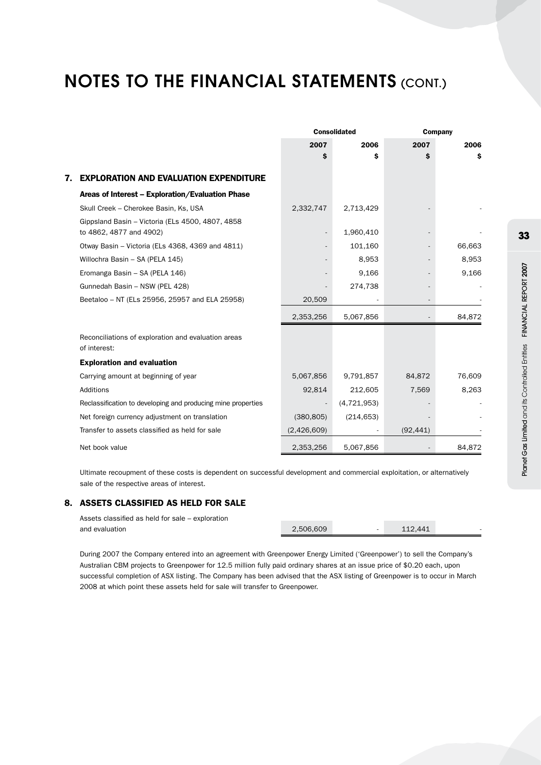|    |                                                                              | <b>Consolidated</b>      |             | Company   |        |
|----|------------------------------------------------------------------------------|--------------------------|-------------|-----------|--------|
|    |                                                                              | 2007                     | 2006        | 2007      | 2006   |
|    |                                                                              | \$                       | S           | \$        | s      |
| 7. | <b>EXPLORATION AND EVALUATION EXPENDITURE</b>                                |                          |             |           |        |
|    | Areas of Interest - Exploration/Evaluation Phase                             |                          |             |           |        |
|    | Skull Creek - Cherokee Basin, Ks, USA                                        | 2,332,747                | 2,713,429   |           |        |
|    | Gippsland Basin - Victoria (ELs 4500, 4807, 4858)<br>to 4862, 4877 and 4902) | $\overline{\phantom{0}}$ | 1,960,410   |           |        |
|    | Otway Basin - Victoria (ELs 4368, 4369 and 4811)                             |                          | 101,160     |           | 66,663 |
|    | Willochra Basin - SA (PELA 145)                                              |                          | 8,953       |           | 8,953  |
|    | Eromanga Basin - SA (PELA 146)                                               |                          | 9,166       |           | 9,166  |
|    | Gunnedah Basin - NSW (PEL 428)                                               |                          | 274,738     |           |        |
|    | Beetaloo - NT (ELs 25956, 25957 and ELA 25958)                               | 20,509                   |             |           |        |
|    |                                                                              | 2,353,256                | 5,067,856   |           | 84,872 |
|    | Reconciliations of exploration and evaluation areas<br>of interest:          |                          |             |           |        |
|    | <b>Exploration and evaluation</b>                                            |                          |             |           |        |
|    | Carrying amount at beginning of year                                         | 5,067,856                | 9,791,857   | 84,872    | 76,609 |
|    | <b>Additions</b>                                                             | 92,814                   | 212,605     | 7,569     | 8,263  |
|    | Reclassification to developing and producing mine properties                 | $\overline{\phantom{a}}$ | (4,721,953) |           |        |
|    | Net foreign currency adjustment on translation                               | (380, 805)               | (214, 653)  |           |        |
|    | Transfer to assets classified as held for sale                               | (2,426,609)              |             | (92, 441) |        |
|    | Net book value                                                               | 2,353,256                | 5,067,856   |           | 84,872 |

 Ultimate recoupment of these costs is dependent on successful development and commercial exploitation, or alternatively sale of the respective areas of interest.

## 8. ASSETS CLASSIFIED AS HELD FOR SALE

| Assets classified as held for sale – exploration |           |         |  |
|--------------------------------------------------|-----------|---------|--|
| and evaluation                                   | 2.506.609 | 112.441 |  |

 During 2007 the Company entered into an agreement with Greenpower Energy Limited ('Greenpower') to sell the Company's Australian CBM projects to Greenpower for 12.5 million fully paid ordinary shares at an issue price of \$0.20 each, upon successful completion of ASX listing. The Company has been advised that the ASX listing of Greenpower is to occur in March 2008 at which point these assets held for sale will transfer to Greenpower.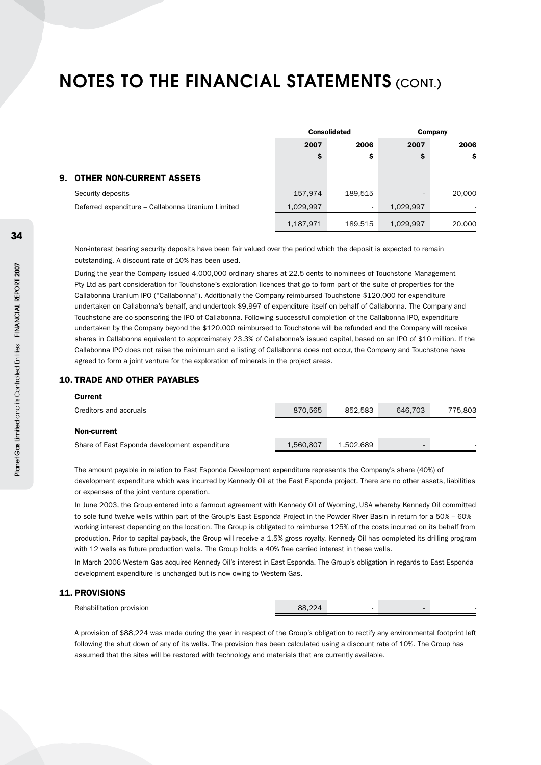|                                                   |              | <b>Consolidated</b>      | Company   |        |  |
|---------------------------------------------------|--------------|--------------------------|-----------|--------|--|
|                                                   | 2007<br>2006 |                          | 2007      | 2006   |  |
|                                                   | \$           | \$                       | \$        | \$.    |  |
| 9. OTHER NON-CURRENT ASSETS                       |              |                          |           |        |  |
| Security deposits                                 | 157,974      | 189.515                  |           | 20,000 |  |
| Deferred expenditure - Callabonna Uranium Limited | 1,029,997    | $\overline{\phantom{a}}$ | 1,029,997 |        |  |
|                                                   | 1,187,971    | 189.515                  | 1,029,997 | 20,000 |  |

 Non-interest bearing security deposits have been fair valued over the period which the deposit is expected to remain outstanding. A discount rate of 10% has been used.

 During the year the Company issued 4,000,000 ordinary shares at 22.5 cents to nominees of Touchstone Management Pty Ltd as part consideration for Touchstone's exploration licences that go to form part of the suite of properties for the Callabonna Uranium IPO ("Callabonna"). Additionally the Company reimbursed Touchstone \$120,000 for expenditure undertaken on Callabonna's behalf, and undertook \$9,997 of expenditure itself on behalf of Callabonna. The Company and Touchstone are co-sponsoring the IPO of Callabonna. Following successful completion of the Callabonna IPO, expenditure undertaken by the Company beyond the \$120,000 reimbursed to Touchstone will be refunded and the Company will receive shares in Callabonna equivalent to approximately 23.3% of Callabonna's issued capital, based on an IPO of \$10 million. If the Callabonna IPO does not raise the minimum and a listing of Callabonna does not occur, the Company and Touchstone have agreed to form a joint venture for the exploration of minerals in the project areas.

### 10. TRADE AND OTHER PAYABLES

# Current Creditors and accruals 870,565 852,583 646,703 775,803 Non-current Share of East Esponda development expenditure 1,560,807 1,502,689

 The amount payable in relation to East Esponda Development expenditure represents the Company's share (40%) of development expenditure which was incurred by Kennedy Oil at the East Esponda project. There are no other assets, liabilities or expenses of the joint venture operation.

 In June 2003, the Group entered into a farmout agreement with Kennedy Oil of Wyoming, USA whereby Kennedy Oil committed to sole fund twelve wells within part of the Group's East Esponda Project in the Powder River Basin in return for a 50% – 60% working interest depending on the location. The Group is obligated to reimburse 125% of the costs incurred on its behalf from production. Prior to capital payback, the Group will receive a 1.5% gross royalty. Kennedy Oil has completed its drilling program with 12 wells as future production wells. The Group holds a 40% free carried interest in these wells.

 In March 2006 Western Gas acquired Kennedy Oil's interest in East Esponda. The Group's obligation in regards to East Esponda development expenditure is unchanged but is now owing to Western Gas.

## 11. PROVISIONS

| Rehabilitation provision | 224<br>88 |  |  |
|--------------------------|-----------|--|--|
|                          |           |  |  |

 A provision of \$88,224 was made during the year in respect of the Group's obligation to rectify any environmental footprint left following the shut down of any of its wells. The provision has been calculated using a discount rate of 10%. The Group has assumed that the sites will be restored with technology and materials that are currently available.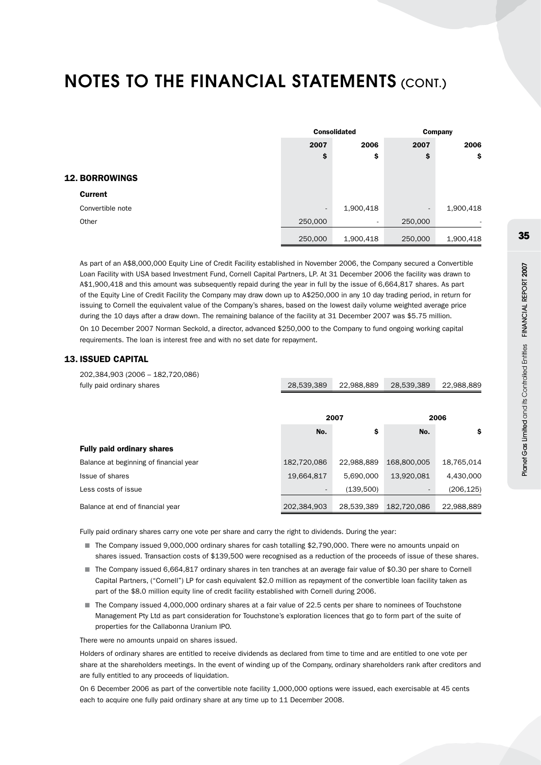|                       | <b>Consolidated</b>      |                          | Company      |           |
|-----------------------|--------------------------|--------------------------|--------------|-----------|
|                       | 2006<br>2007             |                          | 2007<br>2006 |           |
|                       | \$                       | \$                       | \$           | \$        |
| <b>12. BORROWINGS</b> |                          |                          |              |           |
| <b>Current</b>        |                          |                          |              |           |
| Convertible note      | $\overline{\phantom{a}}$ | 1,900,418                |              | 1,900,418 |
| Other                 | 250,000                  | $\overline{\phantom{a}}$ | 250,000      |           |
|                       | 250,000                  | 1,900,418                | 250,000      | 1,900,418 |

 As part of an A\$8,000,000 Equity Line of Credit Facility established in November 2006, the Company secured a Convertible Loan Facility with USA based Investment Fund, Cornell Capital Partners, LP. At 31 December 2006 the facility was drawn to A\$1,900,418 and this amount was subsequently repaid during the year in full by the issue of 6,664,817 shares. As part of the Equity Line of Credit Facility the Company may draw down up to A\$250,000 in any 10 day trading period, in return for issuing to Cornell the equivalent value of the Company's shares, based on the lowest daily volume weighted average price during the 10 days after a draw down. The remaining balance of the facility at 31 December 2007 was \$5.75 million.

 On 10 December 2007 Norman Seckold, a director, advanced \$250,000 to the Company to fund ongoing working capital requirements. The loan is interest free and with no set date for repayment.

### 13. ISSUED CAPITAL

| 202,384,903 (2006 - 182,720,086)       |                          |            |             |            |
|----------------------------------------|--------------------------|------------|-------------|------------|
| fully paid ordinary shares             | 28,539,389               | 22.988.889 | 28.539.389  | 22,988,889 |
|                                        |                          |            |             |            |
|                                        |                          | 2007       |             | 2006       |
|                                        | No.                      | \$         | No.         | \$         |
| <b>Fully paid ordinary shares</b>      |                          |            |             |            |
| Balance at beginning of financial year | 182,720,086              | 22.988.889 | 168,800,005 | 18.765.014 |
| Issue of shares                        | 19,664,817               | 5,690,000  | 13.920.081  | 4,430,000  |
| Less costs of issue                    | $\overline{\phantom{a}}$ | (139,500)  |             | (206, 125) |
| Balance at end of financial year       | 202,384,903              | 28,539,389 | 182,720,086 | 22,988,889 |

Fully paid ordinary shares carry one vote per share and carry the right to dividends. During the year:

- The Company issued 9,000,000 ordinary shares for cash totalling \$2,790,000. There were no amounts unpaid on shares issued. Transaction costs of \$139,500 were recognised as a reduction of the proceeds of issue of these shares.
- The Company issued 6,664,817 ordinary shares in ten tranches at an average fair value of \$0.30 per share to Cornell Capital Partners, ("Cornell") LP for cash equivalent \$2.0 million as repayment of the convertible loan facility taken as part of the \$8.0 million equity line of credit facility established with Cornell during 2006.
- The Company issued 4,000,000 ordinary shares at a fair value of 22.5 cents per share to nominees of Touchstone Management Pty Ltd as part consideration for Touchstone's exploration licences that go to form part of the suite of properties for the Callabonna Uranium IPO.

There were no amounts unpaid on shares issued.

 Holders of ordinary shares are entitled to receive dividends as declared from time to time and are entitled to one vote per share at the shareholders meetings. In the event of winding up of the Company, ordinary shareholders rank after creditors and are fully entitled to any proceeds of liquidation.

 On 6 December 2006 as part of the convertible note facility 1,000,000 options were issued, each exercisable at 45 cents each to acquire one fully paid ordinary share at any time up to 11 December 2008.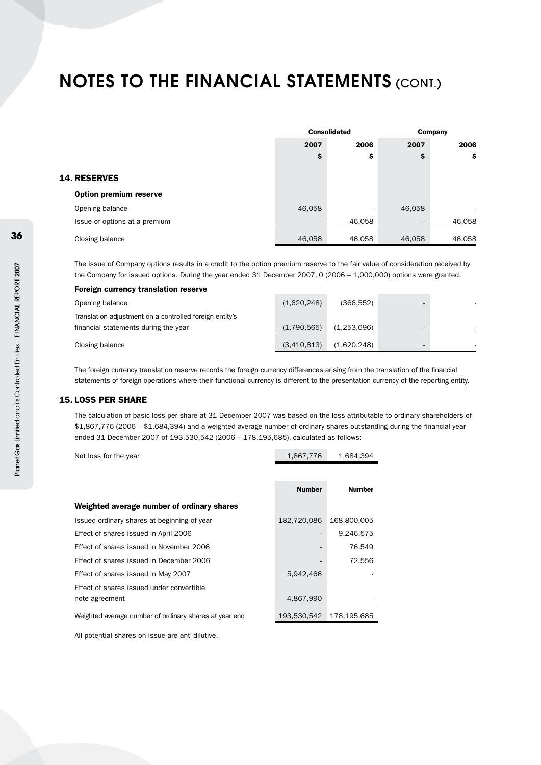|                               |                 | <b>Consolidated</b> | Company |        |  |
|-------------------------------|-----------------|---------------------|---------|--------|--|
|                               | 2007<br>2006    |                     | 2007    | 2006   |  |
|                               | \$              | \$                  | \$      | \$.    |  |
| <b>14. RESERVES</b>           |                 |                     |         |        |  |
| <b>Option premium reserve</b> |                 |                     |         |        |  |
| Opening balance               | 46,058          |                     | 46,058  |        |  |
| Issue of options at a premium | $\qquad \qquad$ | 46,058              |         | 46,058 |  |
| Closing balance               | 46,058          | 46,058              | 46,058  | 46,058 |  |

 The issue of Company options results in a credit to the option premium reserve to the fair value of consideration received by the Company for issued options. During the year ended 31 December 2007, 0 (2006 – 1,000,000) options were granted.

| Foreign currency translation reserve                                                            |             |             |  |
|-------------------------------------------------------------------------------------------------|-------------|-------------|--|
| Opening balance                                                                                 | (1,620,248) | (366, 552)  |  |
| Translation adjustment on a controlled foreign entity's<br>financial statements during the year | (1,790,565) | (1,253,696) |  |
| Closing balance                                                                                 | (3,410,813) | (1,620,248) |  |
|                                                                                                 |             |             |  |

 The foreign currency translation reserve records the foreign currency differences arising from the translation of the financial statements of foreign operations where their functional currency is different to the presentation currency of the reporting entity.

### 15. LOSS PER SHARE

 The calculation of basic loss per share at 31 December 2007 was based on the loss attributable to ordinary shareholders of \$1,867,776 (2006 – \$1,684,394) and a weighted average number of ordinary shares outstanding during the financial year ended 31 December 2007 of 193,530,542 (2006 – 178,195,685), calculated as follows:

| Net loss for the year                                  | 1,867,776     | 1.684.394     |
|--------------------------------------------------------|---------------|---------------|
|                                                        |               |               |
|                                                        | <b>Number</b> | <b>Number</b> |
| Weighted average number of ordinary shares             |               |               |
| Issued ordinary shares at beginning of year            | 182,720,086   | 168,800,005   |
| Effect of shares issued in April 2006                  |               | 9,246,575     |
| Effect of shares issued in November 2006               |               | 76.549        |
| Effect of shares issued in December 2006               |               | 72,556        |
| Effect of shares issued in May 2007                    | 5,942,466     |               |
| Effect of shares issued under convertible              |               |               |
| note agreement                                         | 4,867,990     |               |
| Weighted average number of ordinary shares at year end | 193,530,542   | 178,195,685   |

All potential shares on issue are anti-dilutive.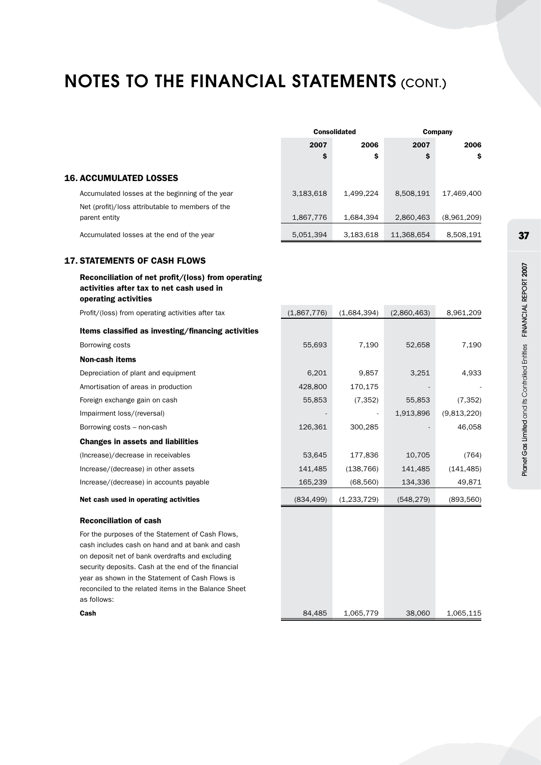|                                                                                                                        | <b>Consolidated</b> |             | Company     |             |
|------------------------------------------------------------------------------------------------------------------------|---------------------|-------------|-------------|-------------|
|                                                                                                                        | 2007<br>\$          | 2006<br>\$  | 2007<br>\$  | 2006<br>\$  |
| <b>16. ACCUMULATED LOSSES</b>                                                                                          |                     |             |             |             |
| Accumulated losses at the beginning of the year                                                                        | 3,183,618           | 1,499,224   | 8,508,191   | 17,469,400  |
| Net (profit)/loss attributable to members of the                                                                       |                     |             |             |             |
| parent entity                                                                                                          | 1,867,776           | 1,684,394   | 2,860,463   | (8,961,209) |
| Accumulated losses at the end of the year                                                                              | 5,051,394           | 3,183,618   | 11,368,654  | 8,508,191   |
| <b>17. STATEMENTS OF CASH FLOWS</b>                                                                                    |                     |             |             |             |
| Reconciliation of net profit/(loss) from operating<br>activities after tax to net cash used in<br>operating activities |                     |             |             |             |
| Profit/(loss) from operating activities after tax                                                                      | (1,867,776)         | (1,684,394) | (2,860,463) | 8,961,209   |
| Items classified as investing/financing activities                                                                     |                     |             |             |             |
| Borrowing costs                                                                                                        | 55,693              | 7,190       | 52,658      | 7,190       |
| <b>Non-cash items</b>                                                                                                  |                     |             |             |             |
| Depreciation of plant and equipment                                                                                    | 6,201               | 9,857       | 3,251       | 4,933       |
| Amortisation of areas in production                                                                                    | 428,800             | 170,175     |             |             |
| Foreign exchange gain on cash                                                                                          | 55,853              | (7, 352)    | 55,853      | (7, 352)    |
| Impairment loss/(reversal)                                                                                             |                     |             | 1,913,896   | (9,813,220) |
| Borrowing costs - non-cash                                                                                             | 126,361             | 300,285     |             | 46,058      |
| <b>Changes in assets and liabilities</b>                                                                               |                     |             |             |             |
| (Increase)/decrease in receivables                                                                                     | 53,645              | 177,836     | 10,705      | (764)       |
| Increase/(decrease) in other assets                                                                                    | 141,485             | (138, 766)  | 141,485     | (141, 485)  |
| Increase/(decrease) in accounts payable                                                                                | 165,239             | (68, 560)   | 134,336     | 49,871      |
| Net cash used in operating activities                                                                                  | (834, 499)          | (1,233,729) | (548, 279)  | (893, 560)  |
| <b>Reconciliation of cash</b>                                                                                          |                     |             |             |             |
| For the purposes of the Statement of Cash Flows,                                                                       |                     |             |             |             |
| cash includes cash on hand and at bank and cash                                                                        |                     |             |             |             |
| on deposit net of bank overdrafts and excluding                                                                        |                     |             |             |             |
| security deposits. Cash at the end of the financial                                                                    |                     |             |             |             |
| year as shown in the Statement of Cash Flows is<br>reconciled to the related items in the Balance Sheet                |                     |             |             |             |
| as follows:                                                                                                            |                     |             |             |             |
| Cash                                                                                                                   | 84,485              | 1,065,779   | 38,060      | 1,065,115   |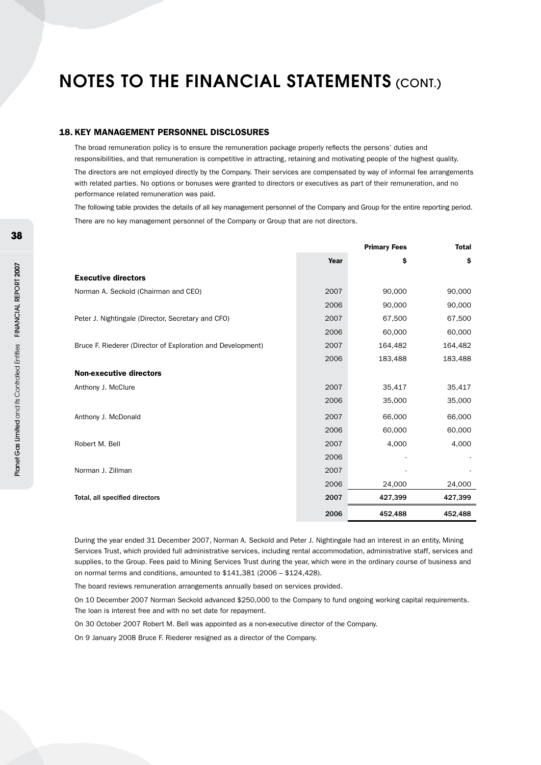### 18. KEY MANAGEMENT PERSONNEL DISCLOSURES

 The broad remuneration policy is to ensure the remuneration package properly reflects the persons' duties and responsibilities, and that remuneration is competitive in attracting, retaining and motivating people of the highest quality.

 The directors are not employed directly by the Company. Their services are compensated by way of informal fee arrangements with related parties. No options or bonuses were granted to directors or executives as part of their remuneration, and no performance related remuneration was paid.

 The following table provides the details of all key management personnel of the Company and Group for the entire reporting period. There are no key management personnel of the Company or Group that are not directors.

|                                                             |      | <b>Primary Fees</b> |         |  |
|-------------------------------------------------------------|------|---------------------|---------|--|
|                                                             | Year | \$                  | \$      |  |
| <b>Executive directors</b>                                  |      |                     |         |  |
| Norman A. Seckold (Chairman and CEO)                        | 2007 | 90,000              | 90,000  |  |
|                                                             | 2006 | 90,000              | 90,000  |  |
| Peter J. Nightingale (Director, Secretary and CFO)          | 2007 | 67,500              | 67,500  |  |
|                                                             | 2006 | 60,000              | 60,000  |  |
| Bruce F. Riederer (Director of Exploration and Development) | 2007 | 164,482             | 164,482 |  |
|                                                             | 2006 | 183,488             | 183,488 |  |
| <b>Non-executive directors</b>                              |      |                     |         |  |
| Anthony J. McClure                                          | 2007 | 35,417              | 35,417  |  |
|                                                             | 2006 | 35,000              | 35,000  |  |
| Anthony J. McDonald                                         | 2007 | 66,000              | 66,000  |  |
|                                                             | 2006 | 60,000              | 60,000  |  |
| Robert M. Bell                                              | 2007 | 4,000               | 4,000   |  |
|                                                             | 2006 |                     |         |  |
| Norman J. Zillman                                           | 2007 |                     |         |  |
|                                                             | 2006 | 24,000              | 24,000  |  |
| Total, all specified directors                              | 2007 | 427,399             | 427,399 |  |
|                                                             | 2006 | 452,488             | 452,488 |  |

 During the year ended 31 December 2007, Norman A. Seckold and Peter J. Nightingale had an interest in an entity, Mining Services Trust, which provided full administrative services, including rental accommodation, administrative staff, services and supplies, to the Group. Fees paid to Mining Services Trust during the year, which were in the ordinary course of business and on normal terms and conditions, amounted to \$141,381 (2006 – \$124,428).

The board reviews remuneration arrangements annually based on services provided.

 On 10 December 2007 Norman Seckold advanced \$250,000 to the Company to fund ongoing working capital requirements. The loan is interest free and with no set date for repayment.

On 30 October 2007 Robert M. Bell was appointed as a non-executive director of the Company.

On 9 January 2008 Bruce F. Riederer resigned as a director of the Company.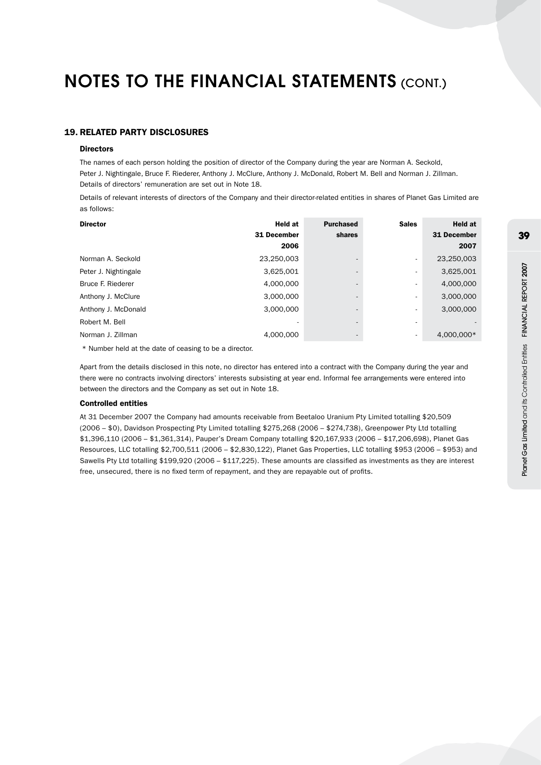### 19. RELATED PARTY DISCLOSURES

### **Directors**

 The names of each person holding the position of director of the Company during the year are Norman A. Seckold, Peter J. Nightingale, Bruce F. Riederer, Anthony J. McClure, Anthony J. McDonald, Robert M. Bell and Norman J. Zillman. Details of directors' remuneration are set out in Note 18.

 Details of relevant interests of directors of the Company and their director-related entities in shares of Planet Gas Limited are as follows:

| <b>Director</b>      | <b>Held at</b> | <b>Purchased</b> | <b>Sales</b>             | Held at     |
|----------------------|----------------|------------------|--------------------------|-------------|
|                      | 31 December    | shares           |                          | 31 December |
|                      | 2006           |                  |                          | 2007        |
| Norman A. Seckold    | 23,250,003     |                  | $\overline{\phantom{a}}$ | 23,250,003  |
| Peter J. Nightingale | 3,625,001      |                  | $\overline{\phantom{a}}$ | 3,625,001   |
| Bruce F. Riederer    | 4,000,000      |                  | $\overline{\phantom{a}}$ | 4,000,000   |
| Anthony J. McClure   | 3,000,000      |                  |                          | 3,000,000   |
| Anthony J. McDonald  | 3,000,000      |                  | $\overline{\phantom{a}}$ | 3,000,000   |
| Robert M. Bell       |                |                  |                          |             |
| Norman J. Zillman    | 4.000.000      | ٠                | $\overline{\phantom{a}}$ | 4,000,000*  |

\* Number held at the date of ceasing to be a director.

 Apart from the details disclosed in this note, no director has entered into a contract with the Company during the year and there were no contracts involving directors' interests subsisting at year end. Informal fee arrangements were entered into between the directors and the Company as set out in Note 18.

### Controlled entities

 At 31 December 2007 the Company had amounts receivable from Beetaloo Uranium Pty Limited totalling \$20,509 (2006 – \$0), Davidson Prospecting Pty Limited totalling \$275,268 (2006 – \$274,738), Greenpower Pty Ltd totalling \$1,396,110 (2006 – \$1,361,314), Pauper's Dream Company totalling \$20,167,933 (2006 – \$17,206,698), Planet Gas Resources, LLC totalling \$2,700,511 (2006 – \$2,830,122), Planet Gas Properties, LLC totalling \$953 (2006 – \$953) and Sawells Pty Ltd totalling \$199,920 (2006 – \$117,225). These amounts are classified as investments as they are interest free, unsecured, there is no fixed term of repayment, and they are repayable out of profits.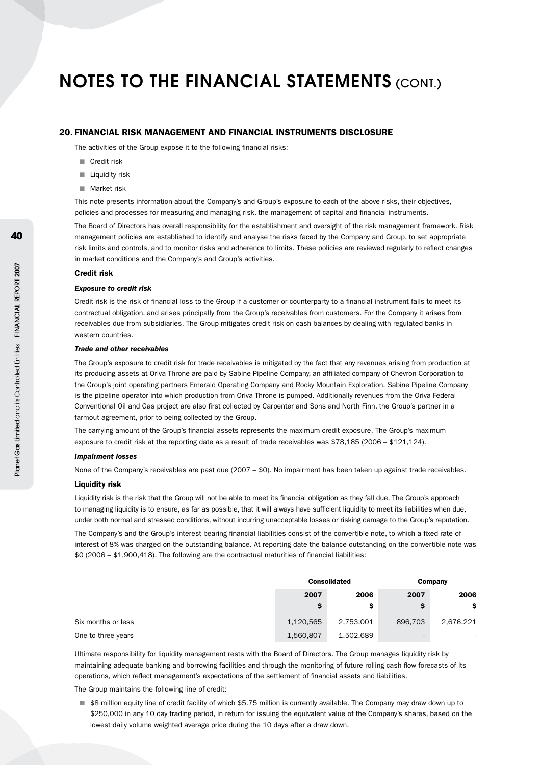### 20. FINANCIAL RISK MANAGEMENT AND FINANCIAL INSTRUMENTS DISCLOSURE

The activities of the Group expose it to the following financial risks:

- Credit risk
- Liquidity risk
- Market risk

 This note presents information about the Company's and Group's exposure to each of the above risks, their objectives, policies and processes for measuring and managing risk, the management of capital and financial instruments.

 The Board of Directors has overall responsibility for the establishment and oversight of the risk management framework. Risk management policies are established to identify and analyse the risks faced by the Company and Group, to set appropriate risk limits and controls, and to monitor risks and adherence to limits. These policies are reviewed regularly to reflect changes in market conditions and the Company's and Group's activities.

### Credit risk

#### *Exposure to credit risk*

 Credit risk is the risk of financial loss to the Group if a customer or counterparty to a financial instrument fails to meet its contractual obligation, and arises principally from the Group's receivables from customers. For the Company it arises from receivables due from subsidiaries. The Group mitigates credit risk on cash balances by dealing with regulated banks in western countries.

#### *Trade and other receivables*

 The Group's exposure to credit risk for trade receivables is mitigated by the fact that any revenues arising from production at its producing assets at Oriva Throne are paid by Sabine Pipeline Company, an affiliated company of Chevron Corporation to the Group's joint operating partners Emerald Operating Company and Rocky Mountain Exploration. Sabine Pipeline Company is the pipeline operator into which production from Oriva Throne is pumped. Additionally revenues from the Oriva Federal Conventional Oil and Gas project are also first collected by Carpenter and Sons and North Finn, the Group's partner in a farmout agreement, prior to being collected by the Group.

 The carrying amount of the Group's financial assets represents the maximum credit exposure. The Group's maximum exposure to credit risk at the reporting date as a result of trade receivables was \$78,185 (2006 – \$121,124).

#### *Impairment losses*

None of the Company's receivables are past due (2007 – \$0). No impairment has been taken up against trade receivables.

#### Liquidity risk

 Liquidity risk is the risk that the Group will not be able to meet its financial obligation as they fall due. The Group's approach to managing liquidity is to ensure, as far as possible, that it will always have sufficient liquidity to meet its liabilities when due, under both normal and stressed conditions, without incurring unacceptable losses or risking damage to the Group's reputation.

 The Company's and the Group's interest bearing financial liabilities consist of the convertible note, to which a fixed rate of interest of 8% was charged on the outstanding balance. At reporting date the balance outstanding on the convertible note was \$0 (2006 – \$1,900,418). The following are the contractual maturities of financial liabilities:

|                    |           | <b>Consolidated</b> |         | Company                  |  |      |  |
|--------------------|-----------|---------------------|---------|--------------------------|--|------|--|
|                    | 2007      | 2006                |         | 2007                     |  | 2006 |  |
|                    | s         |                     | s       | s                        |  |      |  |
| Six months or less | 1,120,565 | 2,753,001           | 896,703 | 2,676,221                |  |      |  |
| One to three years | 1,560,807 | 1,502,689           |         | $\overline{\phantom{0}}$ |  |      |  |

 Ultimate responsibility for liquidity management rests with the Board of Directors. The Group manages liquidity risk by maintaining adequate banking and borrowing facilities and through the monitoring of future rolling cash flow forecasts of its operations, which reflect management's expectations of the settlement of financial assets and liabilities.

The Group maintains the following line of credit:

■ \$8 million equity line of credit facility of which \$5.75 million is currently available. The Company may draw down up to \$250,000 in any 10 day trading period, in return for issuing the equivalent value of the Company's shares, based on the lowest daily volume weighted average price during the 10 days after a draw down.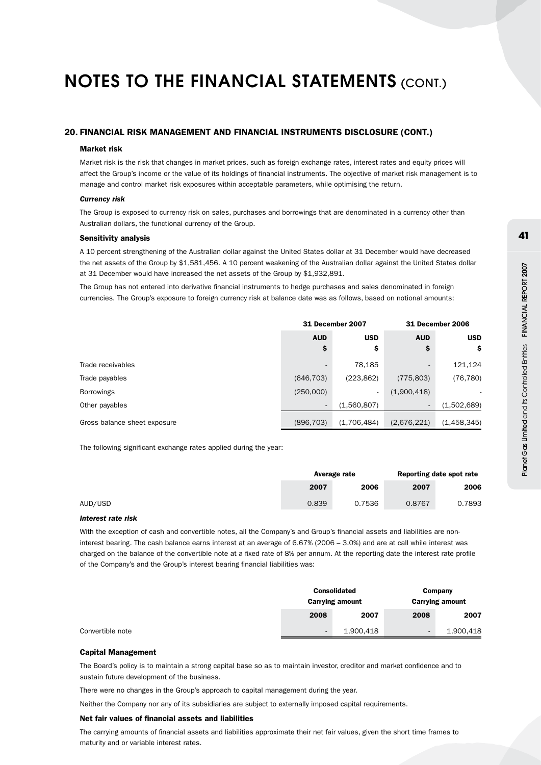### 20. FINANCIAL RISK MANAGEMENT AND FINANCIAL INSTRUMENTS DISCLOSURE (CONT.)

#### Market risk

 Market risk is the risk that changes in market prices, such as foreign exchange rates, interest rates and equity prices will affect the Group's income or the value of its holdings of financial instruments. The objective of market risk management is to manage and control market risk exposures within acceptable parameters, while optimising the return.

#### *Currency risk*

 The Group is exposed to currency risk on sales, purchases and borrowings that are denominated in a currency other than Australian dollars, the functional currency of the Group.

#### Sensitivity analysis

 A 10 percent strengthening of the Australian dollar against the United States dollar at 31 December would have decreased the net assets of the Group by \$1,581,456. A 10 percent weakening of the Australian dollar against the United States dollar at 31 December would have increased the net assets of the Group by \$1,932,891.

 The Group has not entered into derivative financial instruments to hedge purchases and sales denominated in foreign currencies. The Group's exposure to foreign currency risk at balance date was as follows, based on notional amounts:

|                              | 31 December 2007 |                          | <b>31 December 2006</b> |             |
|------------------------------|------------------|--------------------------|-------------------------|-------------|
|                              | <b>AUD</b>       | <b>USD</b>               |                         | <b>USD</b>  |
|                              | \$               | \$                       | \$                      | \$          |
| Trade receivables            |                  | 78.185                   |                         | 121,124     |
| Trade payables               | (646, 703)       | (223, 862)               | (775, 803)              | (76, 780)   |
| <b>Borrowings</b>            | (250,000)        | $\overline{\phantom{a}}$ | (1,900,418)             |             |
| Other payables               |                  | (1,560,807)              |                         | (1,502,689) |
| Gross balance sheet exposure | (896, 703)       | (1,706,484)              | (2,676,221)             | (1,458,345) |

The following significant exchange rates applied during the year:

| Average rate |        | Reporting date spot rate |        |
|--------------|--------|--------------------------|--------|
| 2007         | 2006   | 2007                     | 2006   |
| 0.839        | 0.7536 | 0.8767                   | 0.7893 |
|              |        |                          |        |

### *Interest rate risk*

 With the exception of cash and convertible notes, all the Company's and Group's financial assets and liabilities are noninterest bearing. The cash balance earns interest at an average of 6.67% (2006 – 3.0%) and are at call while interest was charged on the balance of the convertible note at a fixed rate of 8% per annum. At the reporting date the interest rate profile of the Company's and the Group's interest bearing financial liabilities was:

| <b>Consolidated</b><br><b>Carrying amount</b> |           | Company<br><b>Carrying amount</b> |           |
|-----------------------------------------------|-----------|-----------------------------------|-----------|
| 2008                                          | 2007      | 2008                              | 2007      |
| -                                             | 1,900,418 |                                   | 1,900,418 |

#### Capital Management

 The Board's policy is to maintain a strong capital base so as to maintain investor, creditor and market confidence and to sustain future development of the business.

There were no changes in the Group's approach to capital management during the year.

Neither the Company nor any of its subsidiaries are subject to externally imposed capital requirements.

#### Net fair values of financial assets and liabilities

 The carrying amounts of financial assets and liabilities approximate their net fair values, given the short time frames to maturity and or variable interest rates.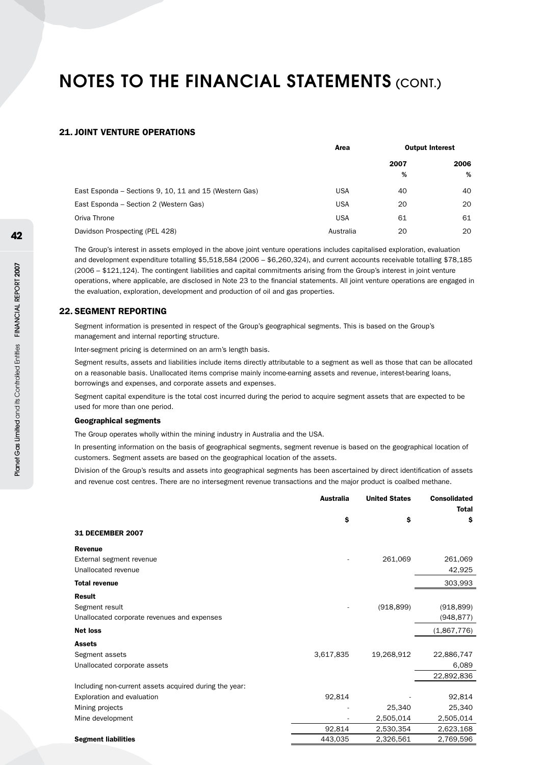### 21. JOINT VENTURE OPERATIONS

|                                                        | Area       | <b>Output Interest</b> |      |  |
|--------------------------------------------------------|------------|------------------------|------|--|
|                                                        |            | 2007                   | 2006 |  |
|                                                        |            | %                      | %    |  |
| East Esponda - Sections 9, 10, 11 and 15 (Western Gas) | USA        | 40                     | 40   |  |
| East Esponda - Section 2 (Western Gas)                 | <b>USA</b> | 20                     | 20   |  |
| Oriva Throne                                           | <b>USA</b> | 61                     | 61   |  |
| Davidson Prospecting (PEL 428)                         | Australia  | 20                     | 20   |  |

 The Group's interest in assets employed in the above joint venture operations includes capitalised exploration, evaluation and development expenditure totalling \$5,518,584 (2006 – \$6,260,324), and current accounts receivable totalling \$78,185 (2006 – \$121,124). The contingent liabilities and capital commitments arising from the Group's interest in joint venture operations, where applicable, are disclosed in Note 23 to the financial statements. All joint venture operations are engaged in the evaluation, exploration, development and production of oil and gas properties.

### 22. SEGMENT REPORTING

 Segment information is presented in respect of the Group's geographical segments. This is based on the Group's management and internal reporting structure.

Inter-segment pricing is determined on an arm's length basis.

 Segment results, assets and liabilities include items directly attributable to a segment as well as those that can be allocated on a reasonable basis. Unallocated items comprise mainly income-earning assets and revenue, interest-bearing loans, borrowings and expenses, and corporate assets and expenses.

 Segment capital expenditure is the total cost incurred during the period to acquire segment assets that are expected to be used for more than one period.

#### Geographical segments

The Group operates wholly within the mining industry in Australia and the USA.

 In presenting information on the basis of geographical segments, segment revenue is based on the geographical location of customers. Segment assets are based on the geographical location of the assets.

 Division of the Group's results and assets into geographical segments has been ascertained by direct identification of assets and revenue cost centres. There are no intersegment revenue transactions and the major product is coalbed methane.

|                                                        | <b>Australia</b> | <b>United States</b> | <b>Consolidated</b> |
|--------------------------------------------------------|------------------|----------------------|---------------------|
|                                                        |                  |                      | Total               |
|                                                        | \$               | \$                   | S                   |
| <b>31 DECEMBER 2007</b>                                |                  |                      |                     |
| Revenue                                                |                  |                      |                     |
| External segment revenue                               |                  | 261,069              | 261,069             |
| Unallocated revenue                                    |                  |                      | 42,925              |
| <b>Total revenue</b>                                   |                  |                      | 303,993             |
| Result                                                 |                  |                      |                     |
| Segment result                                         |                  | (918, 899)           | (918, 899)          |
| Unallocated corporate revenues and expenses            |                  |                      | (948, 877)          |
| Net loss                                               |                  |                      | (1,867,776)         |
| Assets                                                 |                  |                      |                     |
| Segment assets                                         | 3,617,835        | 19,268,912           | 22,886,747          |
| Unallocated corporate assets                           |                  |                      | 6,089               |
|                                                        |                  |                      | 22,892,836          |
| Including non-current assets acquired during the year: |                  |                      |                     |
| Exploration and evaluation                             | 92,814           |                      | 92,814              |
| Mining projects                                        |                  | 25,340               | 25,340              |
| Mine development                                       |                  | 2,505,014            | 2,505,014           |
|                                                        | 92,814           | 2,530,354            | 2,623,168           |
| <b>Segment liabilities</b>                             | 443,035          | 2,326,561            | 2,769,596           |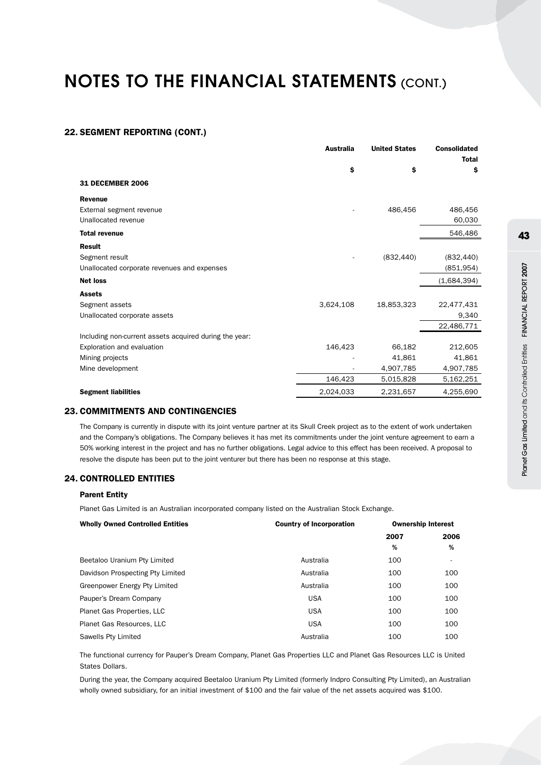## 22. SEGMENT REPORTING (CONT.)

|                                                        | <b>Australia</b> | <b>United States</b> | <b>Consolidated</b> |
|--------------------------------------------------------|------------------|----------------------|---------------------|
|                                                        |                  |                      | <b>Total</b>        |
|                                                        | \$               | \$                   | \$                  |
| <b>31 DECEMBER 2006</b>                                |                  |                      |                     |
| Revenue                                                |                  |                      |                     |
| External segment revenue                               |                  | 486,456              | 486,456             |
| Unallocated revenue                                    |                  |                      | 60,030              |
| <b>Total revenue</b>                                   |                  |                      | 546,486             |
| <b>Result</b>                                          |                  |                      |                     |
| Segment result                                         |                  | (832, 440)           | (832, 440)          |
| Unallocated corporate revenues and expenses            |                  |                      | (851, 954)          |
| <b>Net loss</b>                                        |                  |                      | (1,684,394)         |
| <b>Assets</b>                                          |                  |                      |                     |
| Segment assets                                         | 3,624,108        | 18,853,323           | 22,477,431          |
| Unallocated corporate assets                           |                  |                      | 9,340               |
|                                                        |                  |                      | 22,486,771          |
| Including non-current assets acquired during the year: |                  |                      |                     |
| Exploration and evaluation                             | 146,423          | 66,182               | 212,605             |
| Mining projects                                        |                  | 41,861               | 41,861              |
| Mine development                                       |                  | 4,907,785            | 4,907,785           |
|                                                        | 146,423          | 5,015,828            | 5,162,251           |
| <b>Segment liabilities</b>                             | 2,024,033        | 2,231,657            | 4,255,690           |

## 23. COMMITMENTS AND CONTINGENCIES

 The Company is currently in dispute with its joint venture partner at its Skull Creek project as to the extent of work undertaken and the Company's obligations. The Company believes it has met its commitments under the joint venture agreement to earn a 50% working interest in the project and has no further obligations. Legal advice to this effect has been received. A proposal to resolve the dispute has been put to the joint venturer but there has been no response at this stage.

## 24. CONTROLLED ENTITIES

## Parent Entity

Planet Gas Limited is an Australian incorporated company listed on the Australian Stock Exchange.

| <b>Wholly Owned Controlled Entities</b> | <b>Country of Incorporation</b> | <b>Ownership Interest</b> |                          |
|-----------------------------------------|---------------------------------|---------------------------|--------------------------|
|                                         |                                 | 2007                      | 2006                     |
|                                         |                                 | %                         | %                        |
| Beetaloo Uranium Pty Limited            | Australia                       | 100                       | $\overline{\phantom{a}}$ |
| Davidson Prospecting Pty Limited        | Australia                       | 100                       | 100                      |
| Greenpower Energy Pty Limited           | Australia                       | 100                       | 100                      |
| Pauper's Dream Company                  | <b>USA</b>                      | 100                       | 100                      |
| Planet Gas Properties, LLC              | <b>USA</b>                      | 100                       | 100                      |
| Planet Gas Resources, LLC               | <b>USA</b>                      | 100                       | 100                      |
| Sawells Pty Limited                     | Australia                       | 100                       | 100                      |

 The functional currency for Pauper's Dream Company, Planet Gas Properties LLC and Planet Gas Resources LLC is United States Dollars.

 During the year, the Company acquired Beetaloo Uranium Pty Limited (formerly Indpro Consulting Pty Limited), an Australian wholly owned subsidiary, for an initial investment of \$100 and the fair value of the net assets acquired was \$100.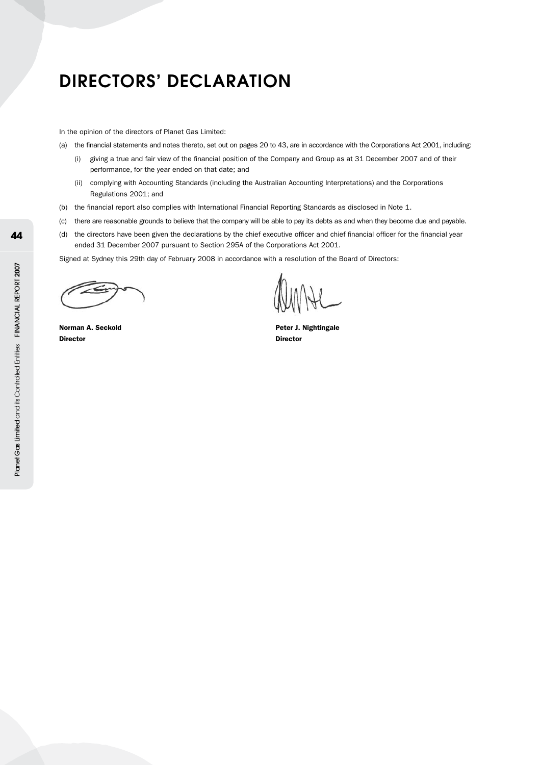# DIRECTORS' DECLARATION

In the opinion of the directors of Planet Gas Limited:

- (a) the financial statements and notes thereto, set out on pages 20 to 43, are in accordance with the Corporations Act 2001, including:
	- (i) giving a true and fair view of the financial position of the Company and Group as at 31 December 2007 and of their performance, for the year ended on that date; and
	- (ii) complying with Accounting Standards (including the Australian Accounting Interpretations) and the Corporations Regulations 2001; and
- (b) the financial report also complies with International Financial Reporting Standards as disclosed in Note 1.
- (c) there are reasonable grounds to believe that the company will be able to pay its debts as and when they become due and payable.
- (d) the directors have been given the declarations by the chief executive officer and chief financial officer for the financial year ended 31 December 2007 pursuant to Section 295A of the Corporations Act 2001.

Signed at Sydney this 29th day of February 2008 in accordance with a resolution of the Board of Directors:

Norman A. Seckold Director

Peter J. Nightingale Director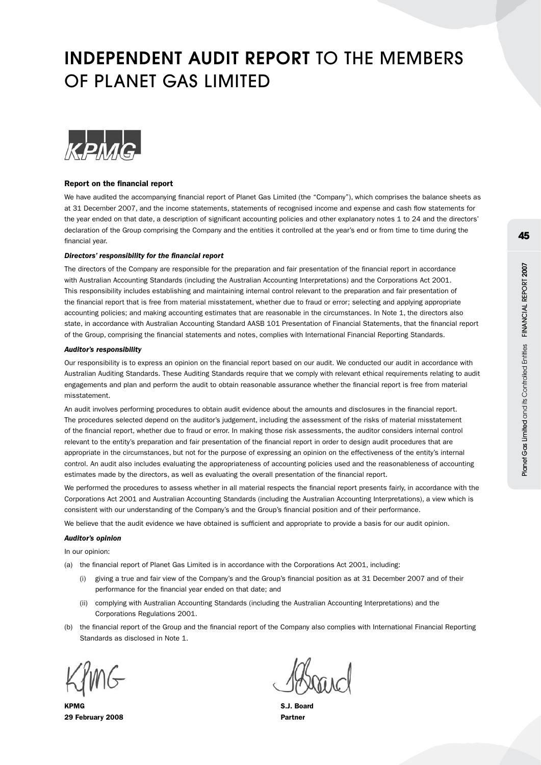# INDEPENDENT AUDIT REPORT TO THE MEMBERS OF PLANET GAS LIMITED



### Report on the financial report

We have audited the accompanying financial report of Planet Gas Limited (the "Company"), which comprises the balance sheets as at 31 December 2007, and the income statements, statements of recognised income and expense and cash flow statements for the year ended on that date, a description of significant accounting policies and other explanatory notes 1 to 24 and the directors' declaration of the Group comprising the Company and the entities it controlled at the year's end or from time to time during the financial year.

### *Directors' responsibility for the financial report*

The directors of the Company are responsible for the preparation and fair presentation of the financial report in accordance with Australian Accounting Standards (including the Australian Accounting Interpretations) and the Corporations Act 2001. This responsibility includes establishing and maintaining internal control relevant to the preparation and fair presentation of the financial report that is free from material misstatement, whether due to fraud or error; selecting and applying appropriate accounting policies; and making accounting estimates that are reasonable in the circumstances. In Note 1, the directors also state, in accordance with Australian Accounting Standard AASB 101 Presentation of Financial Statements, that the financial report of the Group, comprising the financial statements and notes, complies with International Financial Reporting Standards.

### *Auditor's responsibility*

Our responsibility is to express an opinion on the financial report based on our audit. We conducted our audit in accordance with Australian Auditing Standards. These Auditing Standards require that we comply with relevant ethical requirements relating to audit engagements and plan and perform the audit to obtain reasonable assurance whether the financial report is free from material misstatement.

An audit involves performing procedures to obtain audit evidence about the amounts and disclosures in the financial report. The procedures selected depend on the auditor's judgement, including the assessment of the risks of material misstatement of the financial report, whether due to fraud or error. In making those risk assessments, the auditor considers internal control relevant to the entity's preparation and fair presentation of the financial report in order to design audit procedures that are appropriate in the circumstances, but not for the purpose of expressing an opinion on the effectiveness of the entity's internal control. An audit also includes evaluating the appropriateness of accounting policies used and the reasonableness of accounting estimates made by the directors, as well as evaluating the overall presentation of the financial report.

We performed the procedures to assess whether in all material respects the financial report presents fairly, in accordance with the Corporations Act 2001 and Australian Accounting Standards (including the Australian Accounting Interpretations), a view which is consistent with our understanding of the Company's and the Group's financial position and of their performance.

We believe that the audit evidence we have obtained is sufficient and appropriate to provide a basis for our audit opinion.

#### *Auditor's opinion*

In our opinion:

- (a) the financial report of Planet Gas Limited is in accordance with the Corporations Act 2001, including:
	- giving a true and fair view of the Company's and the Group's financial position as at 31 December 2007 and of their performance for the financial year ended on that date; and
	- (ii) complying with Australian Accounting Standards (including the Australian Accounting Interpretations) and the Corporations Regulations 2001.
- (b) the financial report of the Group and the financial report of the Company also complies with International Financial Reporting Standards as disclosed in Note 1.

KPMG 29 February 2008

S.J. Board Partner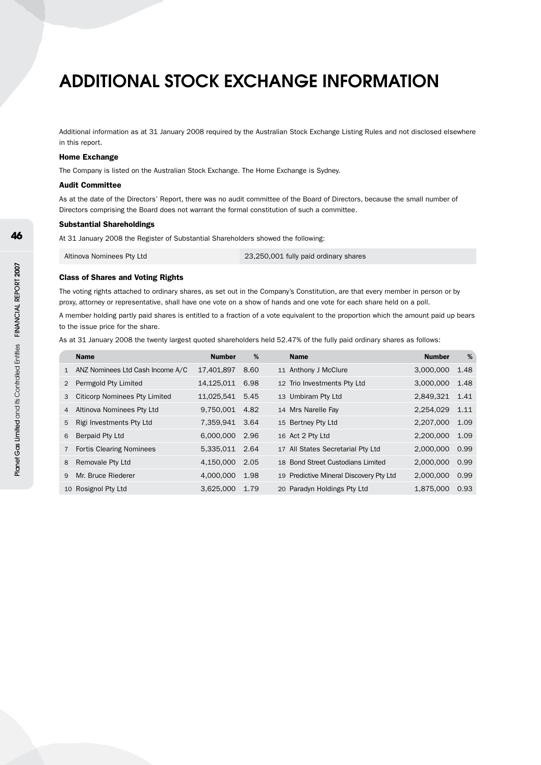# ADDITIONAL STOCK EXCHANGE INFORMATION

Additional information as at 31 January 2008 required by the Australian Stock Exchange Listing Rules and not disclosed elsewhere in this report.

## Home Exchange

The Company is listed on the Australian Stock Exchange. The Home Exchange is Sydney.

## Audit Committee

As at the date of the Directors' Report, there was no audit committee of the Board of Directors, because the small number of Directors comprising the Board does not warrant the formal constitution of such a committee.

### Substantial Shareholdings

At 31 January 2008 the Register of Substantial Shareholders showed the following:

| Altinova Nominees Pty Ltd | 23,250,001 fully paid ordinary shares |
|---------------------------|---------------------------------------|
|---------------------------|---------------------------------------|

#### Class of Shares and Voting Rights

The voting rights attached to ordinary shares, as set out in the Company's Constitution, are that every member in person or by proxy, attorney or representative, shall have one vote on a show of hands and one vote for each share held on a poll.

A member holding partly paid shares is entitled to a fraction of a vote equivalent to the proportion which the amount paid up bears to the issue price for the share.

As at 31 January 2008 the twenty largest quoted shareholders held 52.47% of the fully paid ordinary shares as follows:

|                | <b>Name</b>                          | <b>Number</b> | %    | <b>Name</b>                             | <b>Number</b> | %      |
|----------------|--------------------------------------|---------------|------|-----------------------------------------|---------------|--------|
| $\mathbf{1}$   | ANZ Nominees Ltd Cash Income A/C     | 17,401,897    | 8.60 | 11 Anthony J McClure                    | 3,000,000     | 1.48   |
| 2              | Permgold Pty Limited                 | 14,125,011    | 6.98 | 12 Trio Investments Pty Ltd             | 3,000,000     | 1.48   |
| 3              | <b>Citicorp Nominees Pty Limited</b> | 11,025,541    | 5.45 | 13 Umbiram Pty Ltd                      | 2,849,321     | -1.41  |
| $\overline{4}$ | Altinova Nominees Pty Ltd            | 9,750,001     | 4.82 | 14 Mrs Narelle Fay                      | 2,254,029     | - 1.11 |
| 5 <sup>5</sup> | Rigi Investments Pty Ltd             | 7,359,941     | 3.64 | 15 Bertney Pty Ltd                      | 2,207,000     | 1.09   |
| 6              | <b>Berpaid Pty Ltd</b>               | 6,000,000     | 2.96 | 16 Act 2 Pty Ltd                        | 2,200,000     | 1.09   |
|                | <b>Fortis Clearing Nominees</b>      | 5,335,011     | 2.64 | 17 All States Secretarial Pty Ltd       | 2,000,000     | 0.99   |
| 8              | <b>Removale Pty Ltd</b>              | 4,150,000     | 2.05 | 18 Bond Street Custodians Limited       | 2,000,000     | 0.99   |
| 9              | Mr. Bruce Riederer                   | 4,000,000     | 1.98 | 19 Predictive Mineral Discovery Pty Ltd | 2,000,000     | 0.99   |
| 10             | Rosignol Pty Ltd                     | 3,625,000     | 1.79 | 20 Paradyn Holdings Pty Ltd             | 1.875.000     | 0.93   |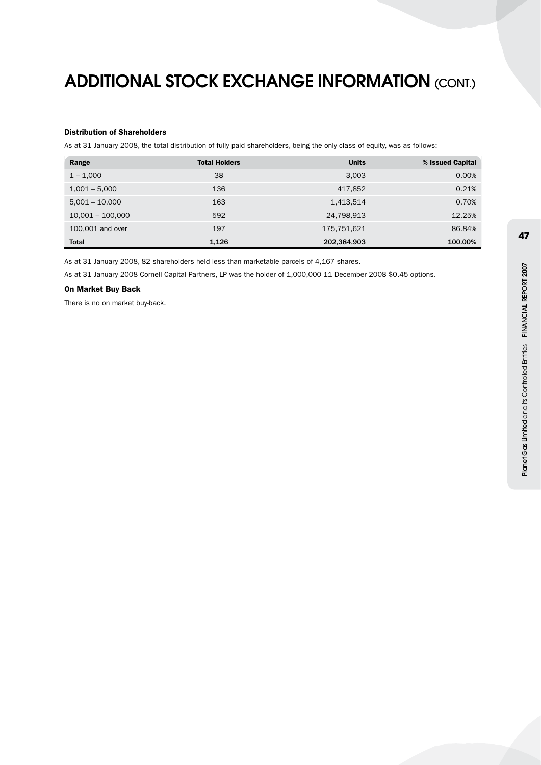# ADDITIONAL STOCK EXCHANGE INFORMATION (CONT.)

### Distribution of Shareholders

As at 31 January 2008, the total distribution of fully paid shareholders, being the only class of equity, was as follows:

| Range              | <b>Total Holders</b> | <b>Units</b> | % Issued Capital |
|--------------------|----------------------|--------------|------------------|
| $1 - 1,000$        | 38                   | 3,003        | 0.00%            |
| $1,001 - 5,000$    | 136                  | 417.852      | 0.21%            |
| $5,001 - 10,000$   | 163                  | 1.413.514    | 0.70%            |
| $10,001 - 100,000$ | 592                  | 24,798,913   | 12.25%           |
| 100,001 and over   | 197                  | 175,751,621  | 86.84%           |
| <b>Total</b>       | 1,126                | 202,384,903  | 100.00%          |

As at 31 January 2008, 82 shareholders held less than marketable parcels of 4,167 shares.

As at 31 January 2008 Cornell Capital Partners, LP was the holder of 1,000,000 11 December 2008 \$0.45 options.

## On Market Buy Back

There is no on market buy-back.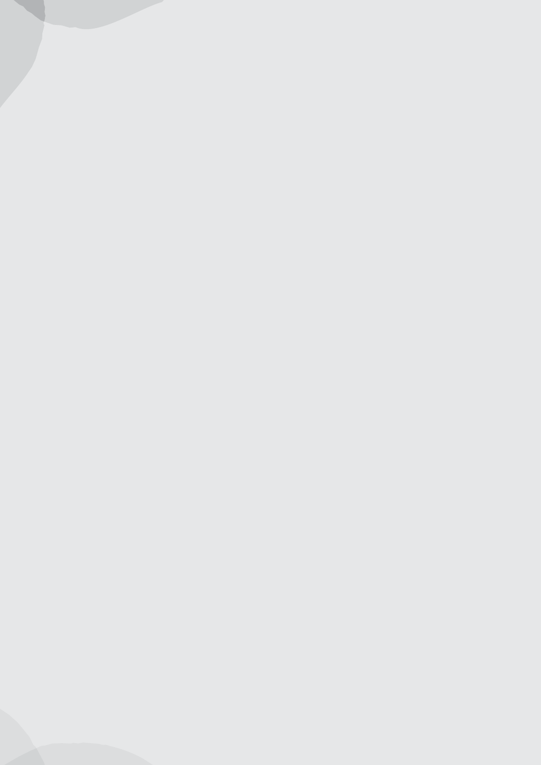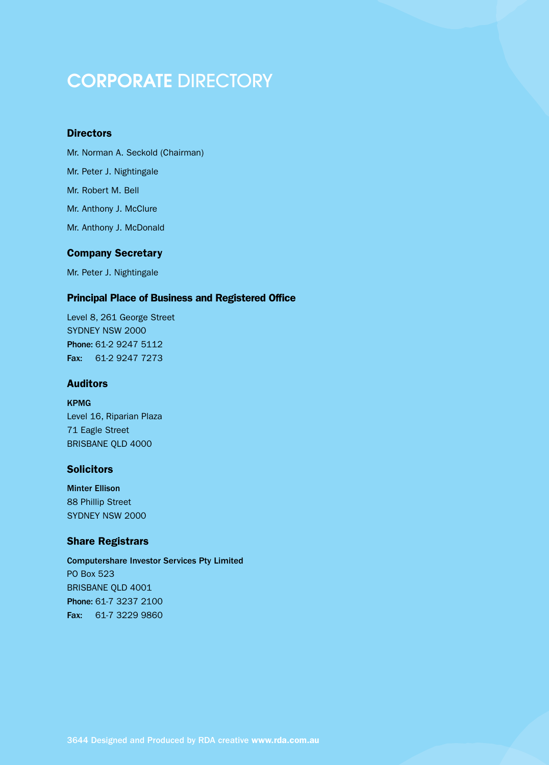# CORPORATE DIRECTORY

## **Directors**

Mr. Norman A. Seckold (Chairman) Mr. Peter J. Nightingale Mr. Robert M. Bell Mr. Anthony J. McClure Mr. Anthony J. McDonald

## Company Secretary

Mr. Peter J. Nightingale

## Principal Place of Business and Registered Office

Level 8, 261 George Street SYDNEY NSW 2000 Phone: 61-2 9247 5112 Fax: 61-2 9247 7273

## Auditors

## KPMG

Level 16, Riparian Plaza 71 Eagle Street BRISBANE QLD 4000

# **Solicitors**

Minter Ellison 88 Phillip Street SYDNEY NSW 2000

## Share Registrars

Computershare Investor Services Pty Limited PO Box 523 BRISBANE QLD 4001 Phone: 61-7 3237 2100 Fax: 61-7 3229 9860